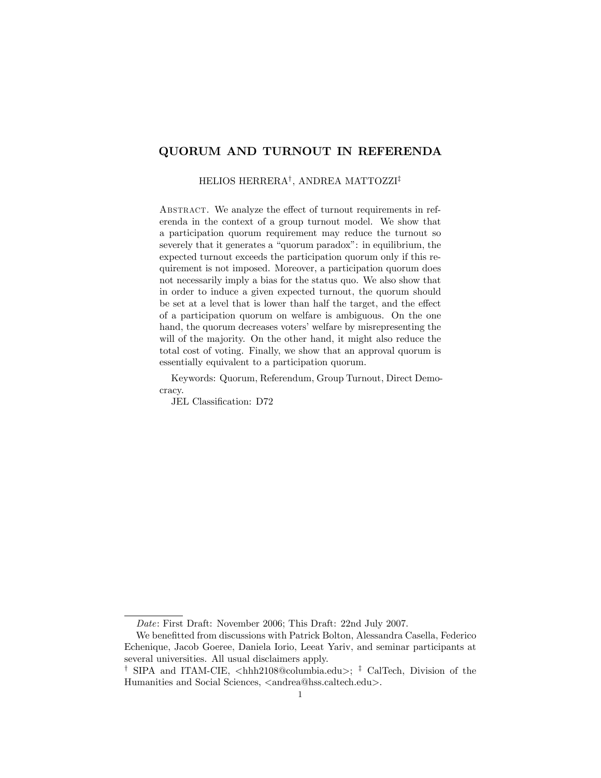# QUORUM AND TURNOUT IN REFERENDA

#### ${\rm HELIOS}$  HERRERA $^\dagger,$  ANDREA MATTOZZI $^\ddagger$

ABSTRACT. We analyze the effect of turnout requirements in referenda in the context of a group turnout model. We show that a participation quorum requirement may reduce the turnout so severely that it generates a "quorum paradox": in equilibrium, the expected turnout exceeds the participation quorum only if this requirement is not imposed. Moreover, a participation quorum does not necessarily imply a bias for the status quo. We also show that in order to induce a given expected turnout, the quorum should be set at a level that is lower than half the target, and the effect of a participation quorum on welfare is ambiguous. On the one hand, the quorum decreases voters' welfare by misrepresenting the will of the majority. On the other hand, it might also reduce the total cost of voting. Finally, we show that an approval quorum is essentially equivalent to a participation quorum.

Keywords: Quorum, Referendum, Group Turnout, Direct Democracy.

JEL Classification: D72

Date: First Draft: November 2006; This Draft: 22nd July 2007.

We benefitted from discussions with Patrick Bolton, Alessandra Casella, Federico Echenique, Jacob Goeree, Daniela Iorio, Leeat Yariv, and seminar participants at several universities. All usual disclaimers apply.

<sup>&</sup>lt;sup>†</sup> SIPA and ITAM-CIE, <hhh2108@columbia.edu>; <sup>‡</sup> CalTech, Division of the Humanities and Social Sciences,  $\langle$ andrea@hss.caltech.edu $\rangle$ .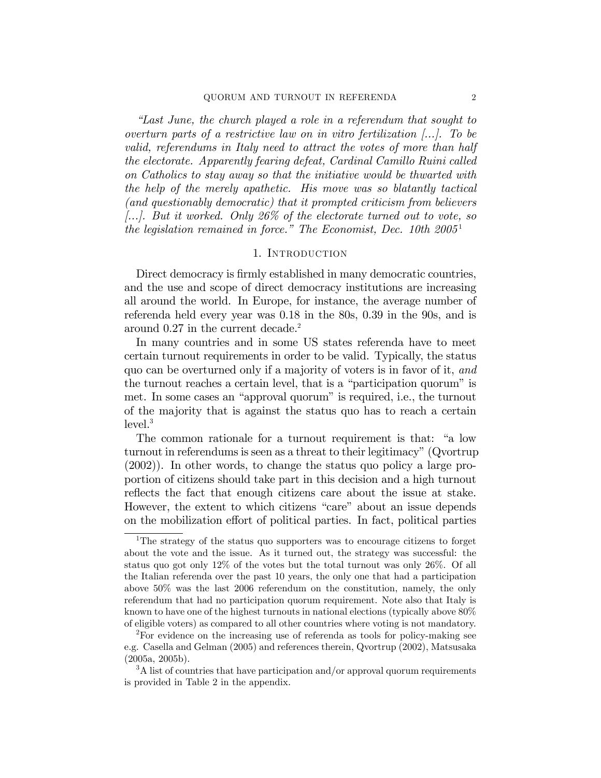ìLast June, the church played a role in a referendum that sought to overturn parts of a restrictive law on in vitro fertilization [...]. To be valid, referendums in Italy need to attract the votes of more than half the electorate. Apparently fearing defeat, Cardinal Camillo Ruini called on Catholics to stay away so that the initiative would be thwarted with the help of the merely apathetic. His move was so blatantly tactical (and questionably democratic) that it prompted criticism from believers  $[...]$ . But it worked. Only 26% of the electorate turned out to vote, so the legislation remained in force." The Economist, Dec. 10th  $2005<sup>1</sup>$ 

### 1. Introduction

Direct democracy is firmly established in many democratic countries, and the use and scope of direct democracy institutions are increasing all around the world. In Europe, for instance, the average number of referenda held every year was 0.18 in the 80s, 0.39 in the 90s, and is around 0.27 in the current decade.<sup>2</sup>

In many countries and in some US states referenda have to meet certain turnout requirements in order to be valid. Typically, the status quo can be overturned only if a majority of voters is in favor of it, and the turnout reaches a certain level, that is a "participation quorum" is met. In some cases an "approval quorum" is required, i.e., the turnout of the majority that is against the status quo has to reach a certain  $level.<sup>3</sup>$ 

The common rationale for a turnout requirement is that: "a low turnout in referendums is seen as a threat to their legitimacy" (Qvortrup (2002)). In other words, to change the status quo policy a large proportion of citizens should take part in this decision and a high turnout reflects the fact that enough citizens care about the issue at stake. However, the extent to which citizens "care" about an issue depends on the mobilization effort of political parties. In fact, political parties

<sup>&</sup>lt;sup>1</sup>The strategy of the status quo supporters was to encourage citizens to forget about the vote and the issue. As it turned out, the strategy was successful: the status quo got only 12% of the votes but the total turnout was only 26%. Of all the Italian referenda over the past 10 years, the only one that had a participation above 50% was the last 2006 referendum on the constitution, namely, the only referendum that had no participation quorum requirement. Note also that Italy is known to have one of the highest turnouts in national elections (typically above 80% of eligible voters) as compared to all other countries where voting is not mandatory.

<sup>2</sup>For evidence on the increasing use of referenda as tools for policy-making see e.g. Casella and Gelman (2005) and references therein, Qvortrup (2002), Matsusaka (2005a, 2005b).

 $3A$  list of countries that have participation and/or approval quorum requirements is provided in Table 2 in the appendix.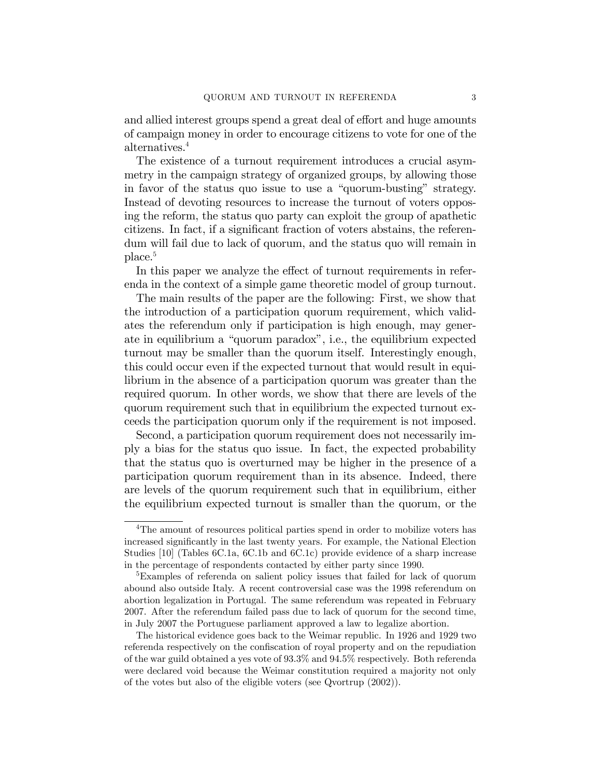and allied interest groups spend a great deal of effort and huge amounts of campaign money in order to encourage citizens to vote for one of the alternatives.<sup>4</sup>

The existence of a turnout requirement introduces a crucial asymmetry in the campaign strategy of organized groups, by allowing those in favor of the status quo issue to use a "quorum-busting" strategy. Instead of devoting resources to increase the turnout of voters opposing the reform, the status quo party can exploit the group of apathetic citizens. In fact, if a significant fraction of voters abstains, the referendum will fail due to lack of quorum, and the status quo will remain in place.<sup>5</sup>

In this paper we analyze the effect of turnout requirements in referenda in the context of a simple game theoretic model of group turnout.

The main results of the paper are the following: First, we show that the introduction of a participation quorum requirement, which validates the referendum only if participation is high enough, may generate in equilibrium a "quorum paradox", i.e., the equilibrium expected turnout may be smaller than the quorum itself. Interestingly enough, this could occur even if the expected turnout that would result in equilibrium in the absence of a participation quorum was greater than the required quorum. In other words, we show that there are levels of the quorum requirement such that in equilibrium the expected turnout exceeds the participation quorum only if the requirement is not imposed.

Second, a participation quorum requirement does not necessarily imply a bias for the status quo issue. In fact, the expected probability that the status quo is overturned may be higher in the presence of a participation quorum requirement than in its absence. Indeed, there are levels of the quorum requirement such that in equilibrium, either the equilibrium expected turnout is smaller than the quorum, or the

<sup>&</sup>lt;sup>4</sup>The amount of resources political parties spend in order to mobilize voters has increased significantly in the last twenty years. For example, the National Election Studies [10] (Tables 6C.1a, 6C.1b and 6C.1c) provide evidence of a sharp increase in the percentage of respondents contacted by either party since 1990.

<sup>&</sup>lt;sup>5</sup>Examples of referenda on salient policy issues that failed for lack of quorum abound also outside Italy. A recent controversial case was the 1998 referendum on abortion legalization in Portugal. The same referendum was repeated in February 2007. After the referendum failed pass due to lack of quorum for the second time, in July 2007 the Portuguese parliament approved a law to legalize abortion.

The historical evidence goes back to the Weimar republic. In 1926 and 1929 two referenda respectively on the confiscation of royal property and on the repudiation of the war guild obtained a yes vote of 93.3% and 94.5% respectively. Both referenda were declared void because the Weimar constitution required a majority not only of the votes but also of the eligible voters (see Qvortrup (2002)).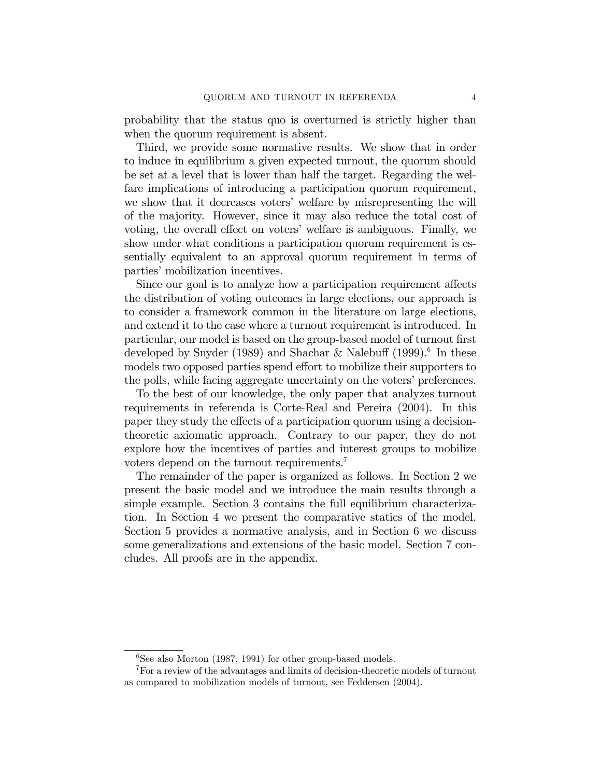probability that the status quo is overturned is strictly higher than when the quorum requirement is absent.

Third, we provide some normative results. We show that in order to induce in equilibrium a given expected turnout, the quorum should be set at a level that is lower than half the target. Regarding the welfare implications of introducing a participation quorum requirement, we show that it decreases voters' welfare by misrepresenting the will of the majority. However, since it may also reduce the total cost of voting, the overall effect on voters' welfare is ambiguous. Finally, we show under what conditions a participation quorum requirement is essentially equivalent to an approval quorum requirement in terms of parties' mobilization incentives.

Since our goal is to analyze how a participation requirement affects the distribution of voting outcomes in large elections, our approach is to consider a framework common in the literature on large elections, and extend it to the case where a turnout requirement is introduced. In particular, our model is based on the group-based model of turnout first developed by Snyder (1989) and Shachar & Nalebuff (1999).<sup>6</sup> In these models two opposed parties spend effort to mobilize their supporters to the polls, while facing aggregate uncertainty on the voters' preferences.

To the best of our knowledge, the only paper that analyzes turnout requirements in referenda is Corte-Real and Pereira (2004). In this paper they study the effects of a participation quorum using a decisiontheoretic axiomatic approach. Contrary to our paper, they do not explore how the incentives of parties and interest groups to mobilize voters depend on the turnout requirements.<sup>7</sup>

The remainder of the paper is organized as follows. In Section 2 we present the basic model and we introduce the main results through a simple example. Section 3 contains the full equilibrium characterization. In Section 4 we present the comparative statics of the model. Section 5 provides a normative analysis, and in Section 6 we discuss some generalizations and extensions of the basic model. Section 7 concludes. All proofs are in the appendix.

 ${}^{6}$ See also Morton (1987, 1991) for other group-based models.

<sup>7</sup>For a review of the advantages and limits of decision-theoretic models of turnout as compared to mobilization models of turnout, see Feddersen (2004).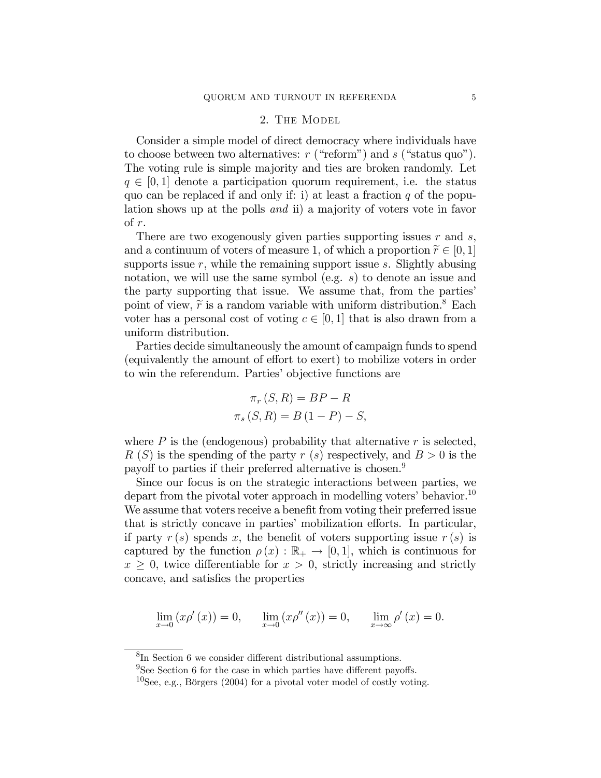## 2. THE MODEL

Consider a simple model of direct democracy where individuals have to choose between two alternatives:  $r$  ("reform") and s ("status quo"). The voting rule is simple majority and ties are broken randomly. Let  $q \in [0, 1]$  denote a participation quorum requirement, i.e. the status quo can be replaced if and only if: i) at least a fraction  $q$  of the population shows up at the polls and ii) a majority of voters vote in favor of r.

There are two exogenously given parties supporting issues  $r$  and  $s$ , and a continuum of voters of measure 1, of which a proportion  $\widetilde{r} \in [0, 1]$ supports issue  $r$ , while the remaining support issue  $s$ . Slightly abusing notation, we will use the same symbol (e.g. s) to denote an issue and the party supporting that issue. We assume that, from the parties' point of view,  $\tilde{r}$  is a random variable with uniform distribution.<sup>8</sup> Each voter has a personal cost of voting  $c \in [0, 1]$  that is also drawn from a uniform distribution.

Parties decide simultaneously the amount of campaign funds to spend (equivalently the amount of effort to exert) to mobilize voters in order to win the referendum. Parties' objective functions are

$$
\pi_r(S, R) = BP - R
$$
  

$$
\pi_s(S, R) = B(1 - P) - S,
$$

where  $P$  is the (endogenous) probability that alternative  $r$  is selected, R (S) is the spending of the party r (s) respectively, and  $B > 0$  is the payoff to parties if their preferred alternative is chosen.<sup>9</sup>

Since our focus is on the strategic interactions between parties, we depart from the pivotal voter approach in modelling voters' behavior.<sup>10</sup> We assume that voters receive a benefit from voting their preferred issue that is strictly concave in parties' mobilization efforts. In particular, if party  $r(s)$  spends x, the benefit of voters supporting issue  $r(s)$  is captured by the function  $\rho(x) : \mathbb{R}_+ \to [0, 1]$ , which is continuous for  $x \geq 0$ , twice differentiable for  $x > 0$ , strictly increasing and strictly concave, and satisfies the properties

$$
\lim_{x \to 0} (x \rho'(x)) = 0, \qquad \lim_{x \to 0} (x \rho''(x)) = 0, \qquad \lim_{x \to \infty} \rho'(x) = 0.
$$

 ${}^{8}$ In Section 6 we consider different distributional assumptions.

 $9See$  Section 6 for the case in which parties have different payoffs.

 $10$ See, e.g., Börgers (2004) for a pivotal voter model of costly voting.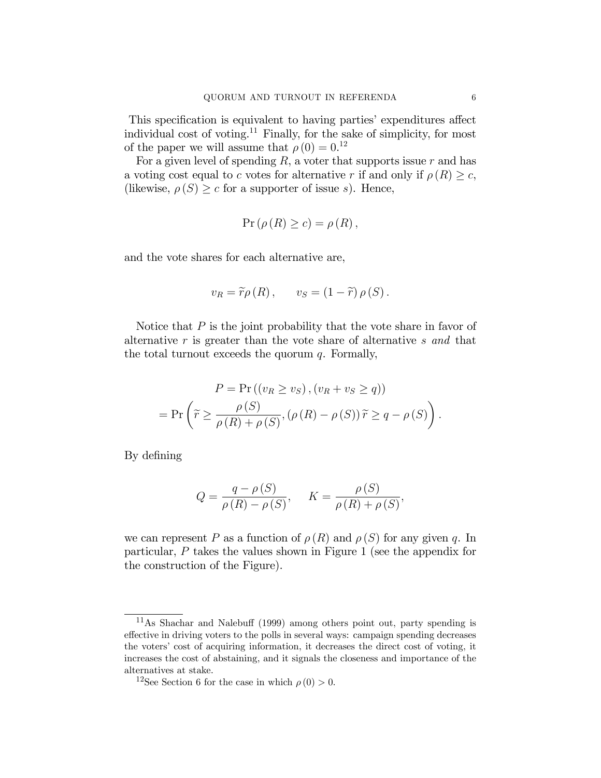This specification is equivalent to having parties' expenditures affect individual cost of voting.<sup>11</sup> Finally, for the sake of simplicity, for most of the paper we will assume that  $\rho(0) = 0.12$ 

For a given level of spending  $R$ , a voter that supports issue  $r$  and has a voting cost equal to c votes for alternative r if and only if  $\rho(R) \geq c$ , (likewise,  $\rho(S) \geq c$  for a supporter of issue s). Hence,

$$
\Pr(\rho(R) \ge c) = \rho(R),
$$

and the vote shares for each alternative are,

$$
v_R = \widetilde{r}\rho(R), \qquad v_S = (1 - \widetilde{r})\rho(S).
$$

Notice that  $P$  is the joint probability that the vote share in favor of alternative  $r$  is greater than the vote share of alternative  $s$  and that the total turnout exceeds the quorum  $q$ . Formally,

$$
P = \Pr((v_R \ge v_S), (v_R + v_S \ge q))
$$
  
= 
$$
\Pr\left(\widetilde{r} \ge \frac{\rho(S)}{\rho(R) + \rho(S)}, (\rho(R) - \rho(S))\widetilde{r} \ge q - \rho(S)\right).
$$

By defining

$$
Q = \frac{q - \rho(S)}{\rho(R) - \rho(S)}, \quad K = \frac{\rho(S)}{\rho(R) + \rho(S)},
$$

we can represent P as a function of  $\rho(R)$  and  $\rho(S)$  for any given q. In particular, P takes the values shown in Figure 1 (see the appendix for the construction of the Figure).

 $11\text{As Shachar and Nalebuffer}$  (1999) among others point out, party spending is effective in driving voters to the polls in several ways: campaign spending decreases the voters' cost of acquiring information, it decreases the direct cost of voting, it increases the cost of abstaining, and it signals the closeness and importance of the alternatives at stake.

<sup>&</sup>lt;sup>12</sup>See Section 6 for the case in which  $\rho(0) > 0$ .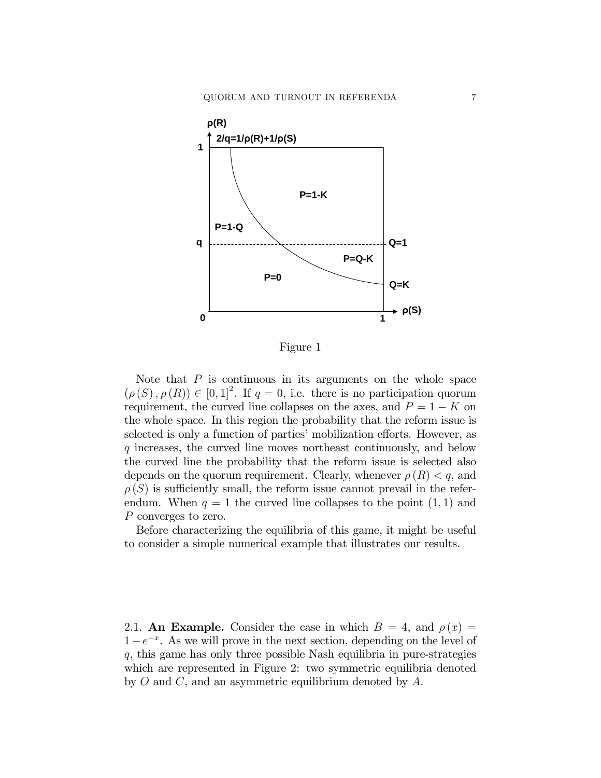

Figure 1

Note that  $P$  is continuous in its arguments on the whole space  $(\rho(S), \rho(R)) \in [0, 1]^2$ . If  $q = 0$ , i.e. there is no participation quorum requirement, the curved line collapses on the axes, and  $P = 1 - K$  on the whole space. In this region the probability that the reform issue is selected is only a function of parties' mobilization efforts. However, as q increases, the curved line moves northeast continuously, and below the curved line the probability that the reform issue is selected also depends on the quorum requirement. Clearly, whenever  $\rho(R) < q$ , and  $\rho(S)$  is sufficiently small, the reform issue cannot prevail in the referendum. When  $q = 1$  the curved line collapses to the point  $(1, 1)$  and P converges to zero.

Before characterizing the equilibria of this game, it might be useful to consider a simple numerical example that illustrates our results.

2.1. An Example. Consider the case in which  $B = 4$ , and  $\rho(x) =$  $1-e^{-x}$ . As we will prove in the next section, depending on the level of  $q$ , this game has only three possible Nash equilibria in pure-strategies which are represented in Figure 2: two symmetric equilibria denoted by  $O$  and  $C$ , and an asymmetric equilibrium denoted by  $A$ .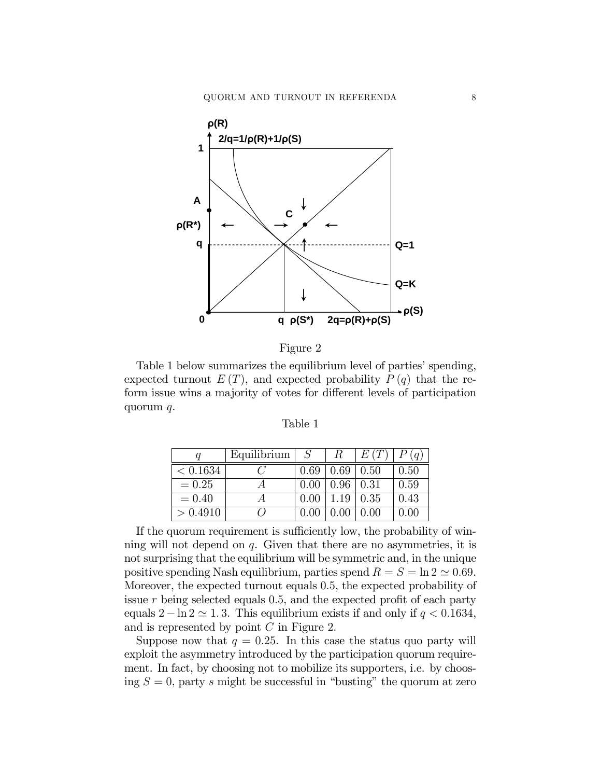

Figure 2

Table 1 below summarizes the equilibrium level of parties' spending, expected turnout  $E(T)$ , and expected probability  $P(q)$  that the reform issue wins a majority of votes for different levels of participation quorum q.

| Table |  |
|-------|--|
|       |  |

|          | Equilibrium $ $ | $\cdot$ S | $R_{\scriptscriptstyle\parallel}$ | E(T)             | P(q) |
|----------|-----------------|-----------|-----------------------------------|------------------|------|
| < 0.1634 | $\epsilon$      | 0.69      |                                   | $0.69 \mid 0.50$ | 0.50 |
| $= 0.25$ |                 | 0.00      | $0.96 \mid 0.31$                  |                  | 0.59 |
| $= 0.40$ |                 | 0.00      | 1.19                              | 0.35             | 0.43 |
| > 0.4910 | $\iota$         |           |                                   | 0.00             | 0.00 |

If the quorum requirement is sufficiently low, the probability of winning will not depend on q. Given that there are no asymmetries, it is not surprising that the equilibrium will be symmetric and, in the unique positive spending Nash equilibrium, parties spend  $R = S = \ln 2 \approx 0.69$ . Moreover, the expected turnout equals 0:5, the expected probability of issue  $r$  being selected equals 0.5, and the expected profit of each party equals  $2 - \ln 2 \simeq 1.3$ . This equilibrium exists if and only if  $q < 0.1634$ , and is represented by point C in Figure 2.

Suppose now that  $q = 0.25$ . In this case the status quo party will exploit the asymmetry introduced by the participation quorum requirement. In fact, by choosing not to mobilize its supporters, i.e. by choosing  $S = 0$ , party s might be successful in "busting" the quorum at zero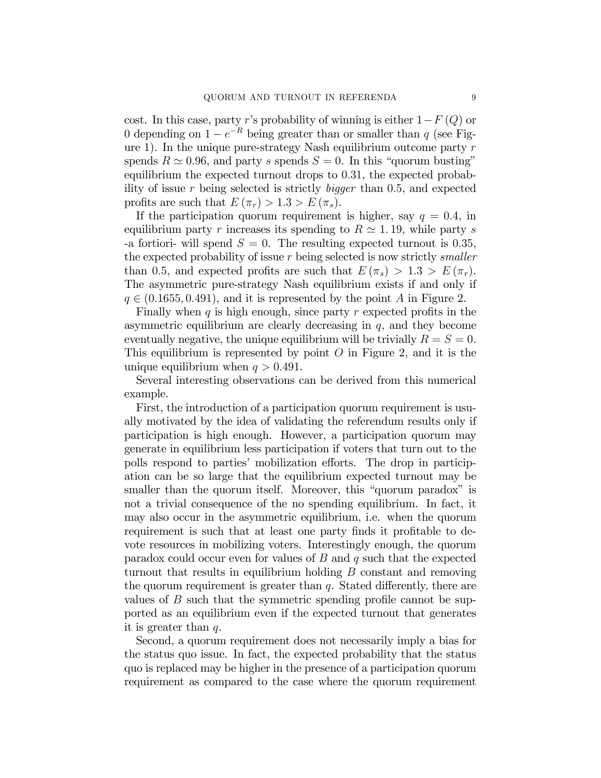cost. In this case, party r's probability of winning is either  $1-F(Q)$  or 0 depending on  $1 - e^{-R}$  being greater than or smaller than q (see Figure 1). In the unique pure-strategy Nash equilibrium outcome party  $r$ spends  $R \simeq 0.96$ , and party s spends  $S = 0$ . In this "quorum busting" equilibrium the expected turnout drops to 0:31, the expected probability of issue  $r$  being selected is strictly *bigger* than 0.5, and expected profits are such that  $E(\pi_r) > 1.3 > E(\pi_s)$ .

If the participation quorum requirement is higher, say  $q = 0.4$ , in equilibrium party r increases its spending to  $R \simeq 1.19$ , while party s -a fortiori- will spend  $S = 0$ . The resulting expected turnout is 0.35, the expected probability of issue  $r$  being selected is now strictly smaller than 0.5, and expected profits are such that  $E(\pi_s) > 1.3 > E(\pi_r)$ . The asymmetric pure-strategy Nash equilibrium exists if and only if  $q \in (0.1655, 0.491)$ , and it is represented by the point A in Figure 2.

Finally when  $q$  is high enough, since party  $r$  expected profits in the asymmetric equilibrium are clearly decreasing in  $q$ , and they become eventually negative, the unique equilibrium will be trivially  $R = S = 0$ . This equilibrium is represented by point  $O$  in Figure 2, and it is the unique equilibrium when  $q > 0.491$ .

Several interesting observations can be derived from this numerical example.

First, the introduction of a participation quorum requirement is usually motivated by the idea of validating the referendum results only if participation is high enough. However, a participation quorum may generate in equilibrium less participation if voters that turn out to the polls respond to parties' mobilization efforts. The drop in participation can be so large that the equilibrium expected turnout may be smaller than the quorum itself. Moreover, this "quorum paradox" is not a trivial consequence of the no spending equilibrium. In fact, it may also occur in the asymmetric equilibrium, i.e. when the quorum requirement is such that at least one party finds it profitable to devote resources in mobilizing voters. Interestingly enough, the quorum paradox could occur even for values of  $B$  and  $q$  such that the expected turnout that results in equilibrium holding B constant and removing the quorum requirement is greater than  $q$ . Stated differently, there are values of  $B$  such that the symmetric spending profile cannot be supported as an equilibrium even if the expected turnout that generates it is greater than q.

Second, a quorum requirement does not necessarily imply a bias for the status quo issue. In fact, the expected probability that the status quo is replaced may be higher in the presence of a participation quorum requirement as compared to the case where the quorum requirement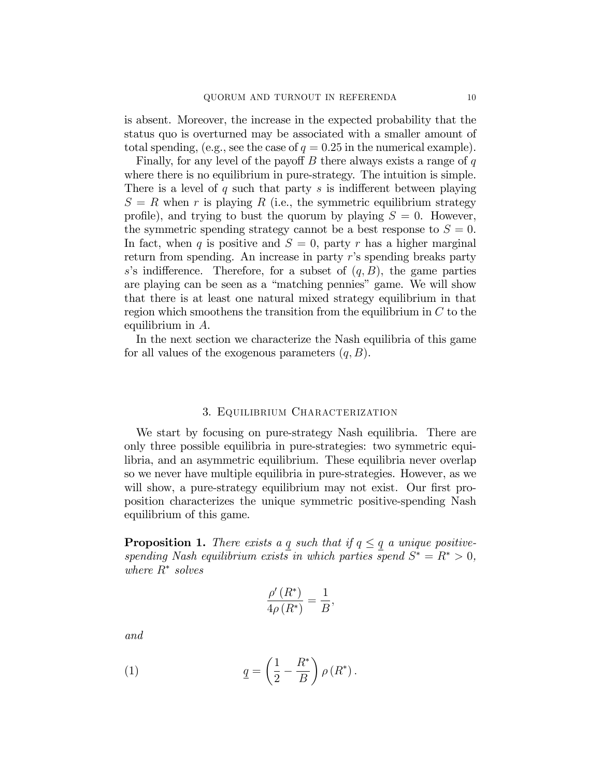is absent. Moreover, the increase in the expected probability that the status quo is overturned may be associated with a smaller amount of total spending, (e.g., see the case of  $q = 0.25$  in the numerical example).

Finally, for any level of the payoff  $B$  there always exists a range of  $q$ where there is no equilibrium in pure-strategy. The intuition is simple. There is a level of q such that party s is indifferent between playing  $S = R$  when r is playing R (i.e., the symmetric equilibrium strategy profile), and trying to bust the quorum by playing  $S = 0$ . However, the symmetric spending strategy cannot be a best response to  $S = 0$ . In fact, when q is positive and  $S = 0$ , party r has a higher marginal return from spending. An increase in party  $r$ 's spending breaks party s's indifference. Therefore, for a subset of  $(q, B)$ , the game parties are playing can be seen as a "matching pennies" game. We will show that there is at least one natural mixed strategy equilibrium in that region which smoothens the transition from the equilibrium in  $C$  to the equilibrium in A.

In the next section we characterize the Nash equilibria of this game for all values of the exogenous parameters  $(q, B)$ .

#### 3. Equilibrium Characterization

We start by focusing on pure-strategy Nash equilibria. There are only three possible equilibria in pure-strategies: two symmetric equilibria, and an asymmetric equilibrium. These equilibria never overlap so we never have multiple equilibria in pure-strategies. However, as we will show, a pure-strategy equilibrium may not exist. Our first proposition characterizes the unique symmetric positive-spending Nash equilibrium of this game.

**Proposition 1.** There exists a  $q$  such that if  $q \leq q$  a unique positivespending Nash equilibrium exists in which parties spend  $S^* = R^* > 0$ , where  $R^*$  solves

$$
\frac{\rho'(R^*)}{4\rho(R^*)} = \frac{1}{B},
$$

and

(1) 
$$
\underline{q} = \left(\frac{1}{2} - \frac{R^*}{B}\right) \rho\left(R^*\right).
$$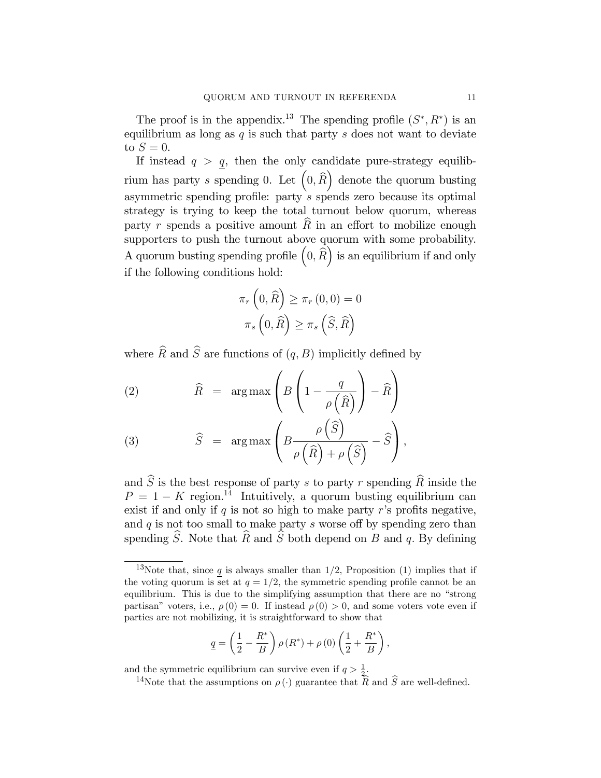The proof is in the appendix.<sup>13</sup> The spending profile  $(S^*, R^*)$  is an equilibrium as long as  $q$  is such that party  $s$  does not want to deviate to  $S=0$ .

If instead  $q > q$ , then the only candidate pure-strategy equilibrium has party s spending 0. Let  $(0, \hat{R})$  denote the quorum busting asymmetric spending profile: party  $s$  spends zero because its optimal strategy is trying to keep the total turnout below quorum, whereas party r spends a positive amount  $R$  in an effort to mobilize enough supporters to push the turnout above quorum with some probability. A quorum busting spending profile  $(0, \hat{R})$  is an equilibrium if and only if the following conditions hold:

$$
\pi_r\left(0,\widehat{R}\right) \ge \pi_r\left(0,0\right) = 0
$$

$$
\pi_s\left(0,\widehat{R}\right) \ge \pi_s\left(\widehat{S},\widehat{R}\right)
$$

where  $\widehat{R}$  and  $\widehat{S}$  are functions of  $(q, B)$  implicitly defined by

(2) 
$$
\widehat{R} = \arg \max \left( B \left( 1 - \frac{q}{\rho(\widehat{R})} \right) - \widehat{R} \right)
$$

(3) 
$$
\widehat{S} = \arg \max \left( B \frac{\rho(\widehat{S})}{\rho(\widehat{R}) + \rho(\widehat{S})} - \widehat{S} \right),
$$

and  $\widehat{S}$  is the best response of party s to party r spending  $\widehat{R}$  inside the  $P = 1 - K$  region.<sup>14</sup> Intuitively, a quorum busting equilibrium can exist if and only if  $q$  is not so high to make party r's profits negative, and  $q$  is not too small to make party  $s$  worse off by spending zero than spending  $\widehat{S}$ . Note that  $\widehat{R}$  and  $\widehat{S}$  both depend on B and q. By defining

$$
\underline{q} = \left(\frac{1}{2} - \frac{R^*}{B}\right)\rho\left(R^*\right) + \rho\left(0\right)\left(\frac{1}{2} + \frac{R^*}{B}\right),\,
$$

and the symmetric equilibrium can survive even if  $q > \frac{1}{2}$ .

<sup>14</sup>Note that the assumptions on  $\rho(\cdot)$  guarantee that  $\widehat{R}$  and  $\widehat{S}$  are well-defined.

<sup>&</sup>lt;sup>13</sup>Note that, since q is always smaller than  $1/2$ , Proposition (1) implies that if the voting quorum is set at  $q = 1/2$ , the symmetric spending profile cannot be an equilibrium. This is due to the simplifying assumption that there are no "strong" partisan" voters, i.e.,  $\rho(0) = 0$ . If instead  $\rho(0) > 0$ , and some voters vote even if parties are not mobilizing, it is straightforward to show that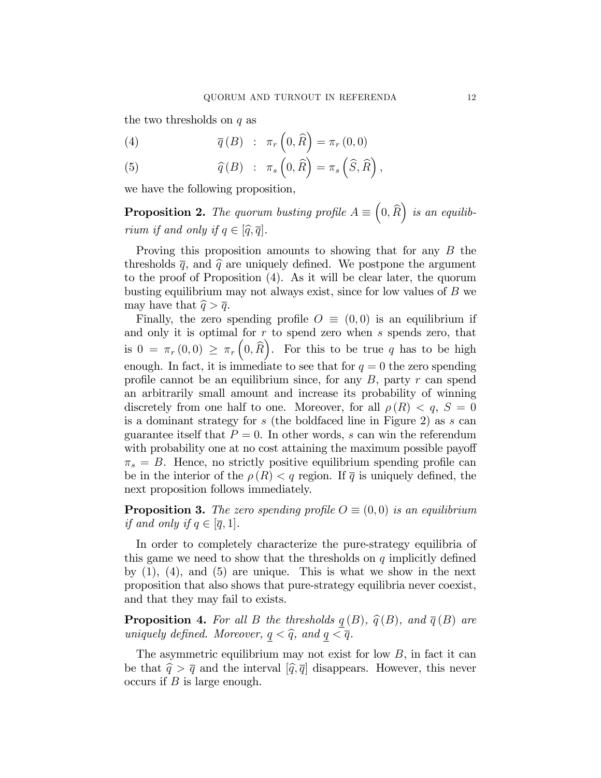the two thresholds on  $q$  as

(4) 
$$
\overline{q}(B) : \pi_r(0,\widehat{R}) = \pi_r(0,0)
$$

(5) 
$$
\widehat{q}(B) : \pi_s\left(0,\widehat{R}\right) = \pi_s\left(\widehat{S},\widehat{R}\right),
$$

we have the following proposition,

**Proposition 2.** The quorum busting profile  $A \equiv (0, \widehat{R})$  is an equilibrium if and only if  $q \in [\hat{q}, \overline{q}]$ .

Proving this proposition amounts to showing that for any B the thresholds  $\bar{q}$ , and  $\hat{q}$  are uniquely defined. We postpone the argument to the proof of Proposition (4). As it will be clear later, the quorum busting equilibrium may not always exist, since for low values of  $B$  we may have that  $\hat{q} > \overline{q}$ .

Finally, the zero spending profile  $O \equiv (0,0)$  is an equilibrium if and only it is optimal for  $r$  to spend zero when  $s$  spends zero, that is  $0 = \pi_r(0,0) \geq \pi_r(0,\widehat{R})$ . For this to be true q has to be high enough. In fact, it is immediate to see that for  $q = 0$  the zero spending profile cannot be an equilibrium since, for any  $B$ , party  $r$  can spend an arbitrarily small amount and increase its probability of winning discretely from one half to one. Moreover, for all  $\rho(R) < q$ ,  $S = 0$ is a dominant strategy for s (the boldfaced line in Figure 2) as s can guarantee itself that  $P = 0$ . In other words, s can win the referendum with probability one at no cost attaining the maximum possible payoff  $\pi_s = B$ . Hence, no strictly positive equilibrium spending profile can be in the interior of the  $\rho(R) < q$  region. If  $\overline{q}$  is uniquely defined, the next proposition follows immediately.

**Proposition 3.** The zero spending profile  $O \equiv (0,0)$  is an equilibrium if and only if  $q \in [\overline{q}, 1]$ .

In order to completely characterize the pure-strategy equilibria of this game we need to show that the thresholds on  $q$  implicitly defined by  $(1)$ ,  $(4)$ , and  $(5)$  are unique. This is what we show in the next proposition that also shows that pure-strategy equilibria never coexist, and that they may fail to exists.

**Proposition 4.** For all B the thresholds  $q(B)$ ,  $\hat{q}(B)$ , and  $\overline{q}(B)$  are uniquely defined. Moreover,  $q < \hat{q}$ , and  $q < \overline{q}$ .

The asymmetric equilibrium may not exist for low B, in fact it can be that  $\hat{q} > \bar{q}$  and the interval  $[\hat{q}, \bar{q}]$  disappears. However, this never occurs if  $B$  is large enough.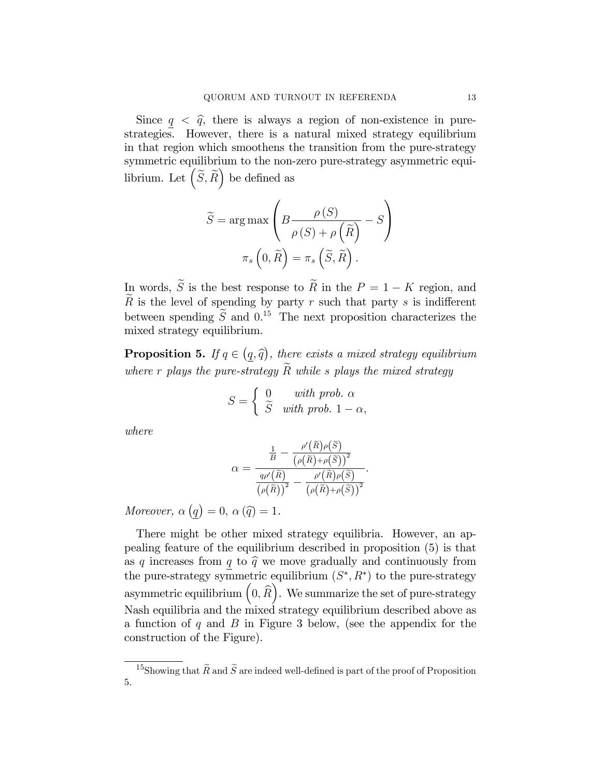Since  $q < \hat{q}$ , there is always a region of non-existence in purestrategies. However, there is a natural mixed strategy equilibrium in that region which smoothens the transition from the pure-strategy symmetric equilibrium to the non-zero pure-strategy asymmetric equilibrium. Let  $(S, \widetilde{R})$  be defined as

$$
\widetilde{S} = \arg \max \left( B \frac{\rho(S)}{\rho(S) + \rho(\widetilde{R})} - S \right)
$$

$$
\pi_s(0, \widetilde{R}) = \pi_s(\widetilde{S}, \widetilde{R}).
$$

In words,  $\widetilde{S}$  is the best response to  $\widetilde{R}$  in the  $P = 1 - K$  region, and R is the level of spending by party r such that party s is indifferent between spending  $\tilde{S}$  and  $0^{15}$ . The next proposition characterizes the mixed strategy equilibrium.

**Proposition 5.** If  $q \in (q, \hat{q})$ , there exists a mixed strategy equilibrium where r plays the pure-strategy  $\widetilde{R}$  while s plays the mixed strategy

$$
S = \begin{cases} 0 & with \ prob. \ \alpha \\ \widetilde{S} & with \ prob. \ 1 - \alpha, \end{cases}
$$

where

$$
\alpha = \frac{\frac{1}{B} - \frac{\rho'(\widetilde{R})\rho(\widetilde{S})}{(\rho(\widetilde{R}) + \rho(\widetilde{S}))^2}}{\frac{q\rho'(\widetilde{R})}{(\rho(\widetilde{R}))^2} - \frac{\rho'(\widetilde{R})\rho(\widetilde{S})}{(\rho(\widetilde{R}) + \rho(\widetilde{S}))^2}}.
$$

Moreover,  $\alpha(\underline{q}) = 0, \alpha(\widehat{q}) = 1.$ 

There might be other mixed strategy equilibria. However, an appealing feature of the equilibrium described in proposition (5) is that as q increases from q to  $\hat{q}$  we move gradually and continuously from the pure-strategy symmetric equilibrium  $(S^*, R^*)$  to the pure-strategy asymmetric equilibrium  $(0, \widehat{R})$ . We summarize the set of pure-strategy Nash equilibria and the mixed strategy equilibrium described above as a function of  $q$  and  $B$  in Figure 3 below, (see the appendix for the construction of the Figure).

<sup>&</sup>lt;sup>15</sup>Showing that  $\widetilde{R}$  and  $\widetilde{S}$  are indeed well-defined is part of the proof of Proposition 5.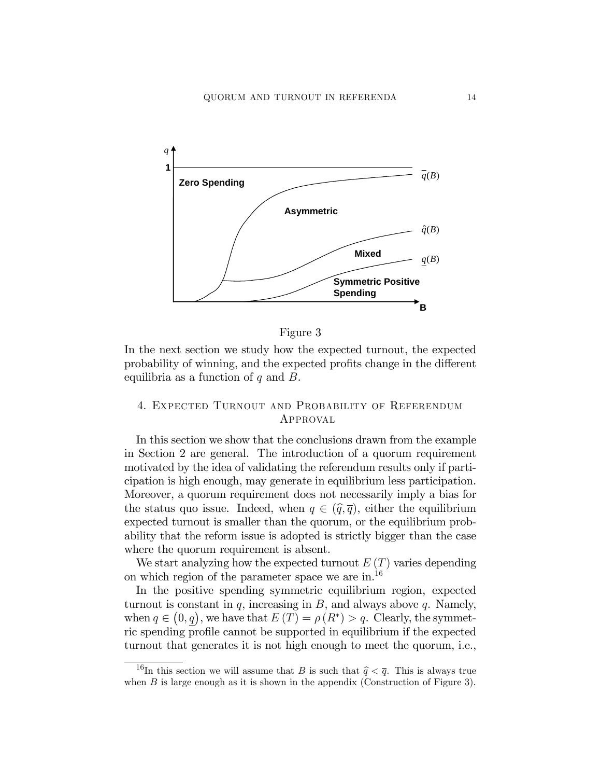

Figure 3

In the next section we study how the expected turnout, the expected probability of winning, and the expected profits change in the different equilibria as a function of  $q$  and  $B$ .

# 4. Expected Turnout and Probability of Referendum Approval

In this section we show that the conclusions drawn from the example in Section 2 are general. The introduction of a quorum requirement motivated by the idea of validating the referendum results only if participation is high enough, may generate in equilibrium less participation. Moreover, a quorum requirement does not necessarily imply a bias for the status quo issue. Indeed, when  $q \in (\hat{q}, \overline{q})$ , either the equilibrium expected turnout is smaller than the quorum, or the equilibrium probability that the reform issue is adopted is strictly bigger than the case where the quorum requirement is absent.

We start analyzing how the expected turnout  $E(T)$  varies depending on which region of the parameter space we are in.<sup>16</sup>

In the positive spending symmetric equilibrium region, expected turnout is constant in  $q$ , increasing in  $B$ , and always above  $q$ . Namely, when  $q \in (0, \underline{q})$ , we have that  $E(T) = \rho(R^*) > q$ . Clearly, the symmetric spending profile cannot be supported in equilibrium if the expected turnout that generates it is not high enough to meet the quorum, i.e.,

<sup>&</sup>lt;sup>16</sup>In this section we will assume that B is such that  $\hat{q} < \bar{q}$ . This is always true when  $B$  is large enough as it is shown in the appendix (Construction of Figure 3).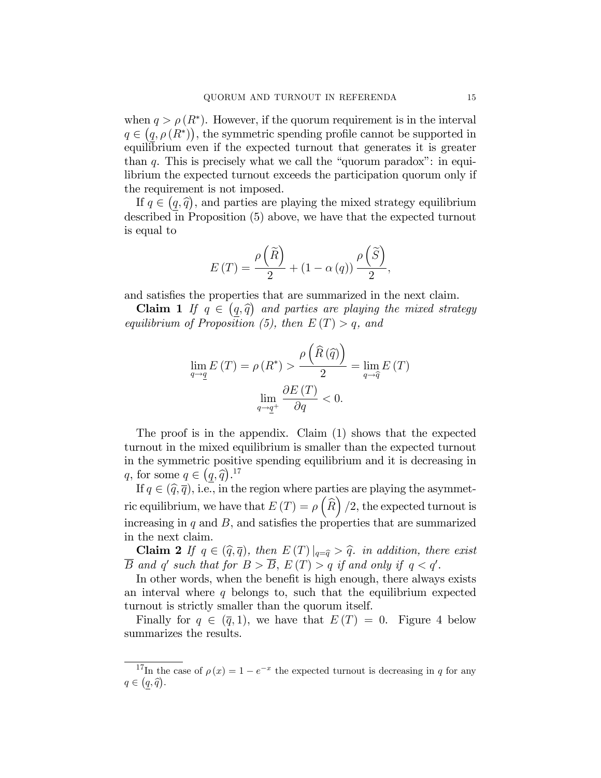when  $q > \rho(R^*)$ . However, if the quorum requirement is in the interval  $q \in (q, \rho(R^*))$ , the symmetric spending profile cannot be supported in equilibrium even if the expected turnout that generates it is greater than  $q$ . This is precisely what we call the "quorum paradox": in equilibrium the expected turnout exceeds the participation quorum only if the requirement is not imposed.

If  $q \in (q, \hat{q})$ , and parties are playing the mixed strategy equilibrium described in Proposition (5) above, we have that the expected turnout is equal to

$$
E(T) = \frac{\rho\left(\widetilde{R}\right)}{2} + (1 - \alpha(q))\frac{\rho\left(\widetilde{S}\right)}{2},
$$

and satisfies the properties that are summarized in the next claim.

**Claim 1** If  $q \in (q, \hat{q})$  and parties are playing the mixed strategy equilibrium of Proposition  $(5)$ , then  $E(T) > q$ , and

$$
\lim_{q \to q} E(T) = \rho(R^*) > \frac{\rho\left(\widehat{R}\left(\widehat{q}\right)\right)}{2} = \lim_{q \to \widehat{q}} E(T)
$$

$$
\lim_{q \to \underline{q}^+} \frac{\partial E(T)}{\partial q} < 0.
$$

The proof is in the appendix. Claim (1) shows that the expected turnout in the mixed equilibrium is smaller than the expected turnout in the symmetric positive spending equilibrium and it is decreasing in q, for some  $q \in (q, \hat{q})$ .<sup>17</sup>

If  $q \in (\hat{q}, \overline{q})$ , i.e., in the region where parties are playing the asymmetric equilibrium, we have that  $E(T) = \rho\left(\widehat{R}\right)/2$ , the expected turnout is increasing in  $q$  and  $B$ , and satisfies the properties that are summarized in the next claim.

**Claim 2** If  $q \in (\widehat{q}, \overline{q})$ , then  $E(T)|_{q=\widehat{q}} > \widehat{q}$ . in addition, there exist B and q' such that for  $B > B$ ,  $E(T) > q$  if and only if  $q < q'$ .

In other words, when the benefit is high enough, there always exists an interval where  $q$  belongs to, such that the equilibrium expected turnout is strictly smaller than the quorum itself.

Finally for  $q \in (\bar{q}, 1)$ , we have that  $E(T) = 0$ . Figure 4 below summarizes the results.

<sup>&</sup>lt;sup>17</sup>In the case of  $\rho(x) = 1 - e^{-x}$  the expected turnout is decreasing in q for any  $q \in (q, \hat{q})$ .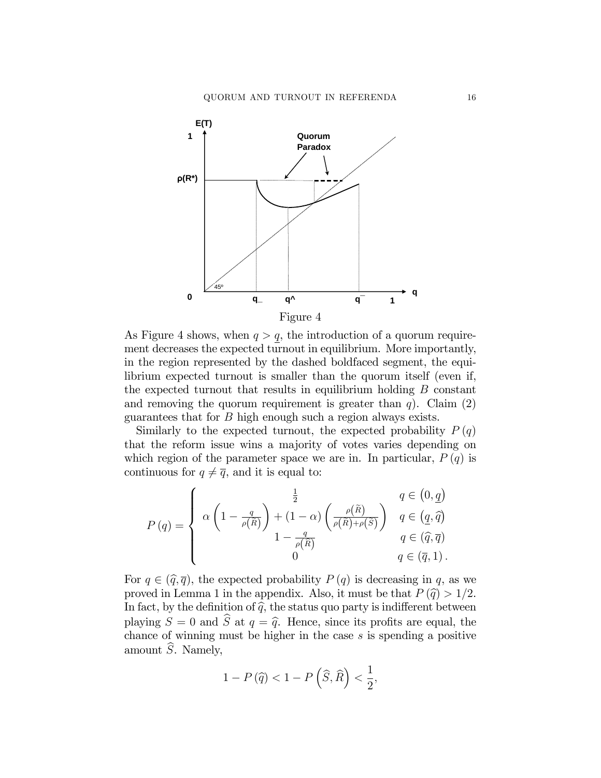

As Figure 4 shows, when  $q > q$ , the introduction of a quorum requirement decreases the expected turnout in equilibrium. More importantly, in the region represented by the dashed boldfaced segment, the equilibrium expected turnout is smaller than the quorum itself (even if, the expected turnout that results in equilibrium holding  $B$  constant and removing the quorum requirement is greater than  $q$ ). Claim  $(2)$ guarantees that for B high enough such a region always exists.

Similarly to the expected turnout, the expected probability  $P(q)$ that the reform issue wins a majority of votes varies depending on which region of the parameter space we are in. In particular,  $P(q)$  is continuous for  $q \neq \overline{q}$ , and it is equal to:

$$
P(q) = \begin{cases} \n\alpha \left( 1 - \frac{q}{\rho(\tilde{R})} \right) + (1 - \alpha) \left( \frac{\rho(\tilde{R})}{\rho(\tilde{R}) + \rho(\tilde{S})} \right) & q \in (q, \tilde{q}) \\ \n1 - \frac{q}{\rho(\tilde{R})} & q \in (\tilde{q}, \bar{q}) \\ \n0 & q \in (\overline{q}, 1). \n\end{cases}
$$

For  $q \in (\hat{q}, \overline{q})$ , the expected probability  $P(q)$  is decreasing in q, as we proved in Lemma 1 in the appendix. Also, it must be that  $P(\hat{q}) > 1/2$ . In fact, by the definition of  $\hat{q}$ , the status quo party is indifferent between playing  $S = 0$  and  $\hat{S}$  at  $q = \hat{q}$ . Hence, since its profits are equal, the chance of winning must be higher in the case  $s$  is spending a positive amount  $\widehat{S}$ . Namely,

$$
1 - P\left(\widehat{q}\right) < 1 - P\left(\widehat{S}, \widehat{R}\right) < \frac{1}{2},
$$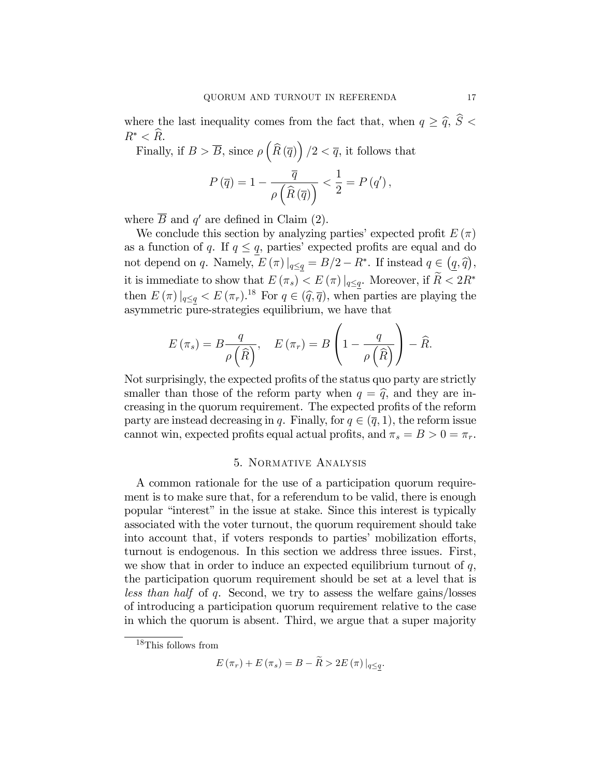where the last inequality comes from the fact that, when  $q \geq \hat{q}, \hat{S}$  $R^* < \widehat{R}$ .

Finally, if  $B > \overline{B}$ , since  $\rho\left(\widehat{R}(\overline{q})\right)/2 < \overline{q}$ , it follows that

$$
P(\overline{q}) = 1 - \frac{\overline{q}}{\rho\left(\widehat{R}(\overline{q})\right)} < \frac{1}{2} = P(q'),
$$

where  $B$  and  $q'$  are defined in Claim (2).

We conclude this section by analyzing parties' expected profit  $E(\pi)$ as a function of q. If  $q \leq \underline{q}$ , parties' expected profits are equal and do not depend on q. Namely,  $E(\pi)|_{q \leq \underline{q}} = B/2 - R^*$ . If instead  $q \in (\underline{q}, \hat{q})$ , it is immediate to show that  $E(\pi_s) < E(\pi)|_{q \leq q}$ . Moreover, if  $\widetilde{R} < 2R^*$ then  $E(\pi)|_{q\leq q} < E(\pi_r).^{18}$  For  $q \in (\widehat{q}, \overline{q})$ , when parties are playing the asymmetric pure-strategies equilibrium, we have that

$$
E(\pi_s) = B \frac{q}{\rho(\widehat{R})}, \quad E(\pi_r) = B \left(1 - \frac{q}{\rho(\widehat{R})}\right) - \widehat{R}.
$$

Not surprisingly, the expected profits of the status quo party are strictly smaller than those of the reform party when  $q = \hat{q}$ , and they are increasing in the quorum requirement. The expected profits of the reform party are instead decreasing in q. Finally, for  $q \in (\bar{q}, 1)$ , the reform issue cannot win, expected profits equal actual profits, and  $\pi_s = B > 0 = \pi_r$ .

### 5. Normative Analysis

A common rationale for the use of a participation quorum requirement is to make sure that, for a referendum to be valid, there is enough popular "interest" in the issue at stake. Since this interest is typically associated with the voter turnout, the quorum requirement should take into account that, if voters responds to parties' mobilization efforts, turnout is endogenous. In this section we address three issues. First, we show that in order to induce an expected equilibrium turnout of  $q$ , the participation quorum requirement should be set at a level that is less than half of q. Second, we try to assess the welfare gains/losses of introducing a participation quorum requirement relative to the case in which the quorum is absent. Third, we argue that a super majority

<sup>18</sup>This follows from

 $E(\pi_r) + E(\pi_s) = B - \widetilde{R} > 2E(\pi)|_{\alpha \leq \alpha}$ .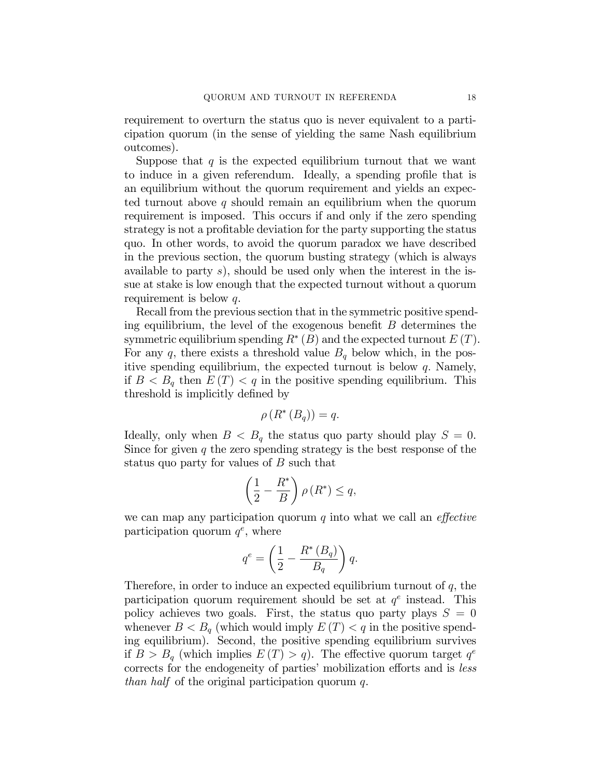requirement to overturn the status quo is never equivalent to a participation quorum (in the sense of yielding the same Nash equilibrium outcomes).

Suppose that  $q$  is the expected equilibrium turnout that we want to induce in a given referendum. Ideally, a spending profile that is an equilibrium without the quorum requirement and yields an expected turnout above  $q$  should remain an equilibrium when the quorum requirement is imposed. This occurs if and only if the zero spending strategy is not a profitable deviation for the party supporting the status quo. In other words, to avoid the quorum paradox we have described in the previous section, the quorum busting strategy (which is always available to party  $s$ , should be used only when the interest in the issue at stake is low enough that the expected turnout without a quorum requirement is below q.

Recall from the previous section that in the symmetric positive spending equilibrium, the level of the exogenous benefit  $B$  determines the symmetric equilibrium spending  $R^*(B)$  and the expected turnout  $E(T)$ . For any q, there exists a threshold value  $B_q$  below which, in the positive spending equilibrium, the expected turnout is below  $q$ . Namely, if  $B < B_q$  then  $E(T) < q$  in the positive spending equilibrium. This threshold is implicitly defined by

$$
\rho\left(R^*\left(B_q\right)\right) = q.
$$

Ideally, only when  $B < B_q$  the status quo party should play  $S = 0$ . Since for given  $q$  the zero spending strategy is the best response of the status quo party for values of B such that

$$
\left(\frac{1}{2} - \frac{R^*}{B}\right)\rho\left(R^*\right) \le q,
$$

we can map any participation quorum  $q$  into what we call an *effective* participation quorum  $q^e$ , where

$$
q^e = \left(\frac{1}{2} - \frac{R^*(B_q)}{B_q}\right)q.
$$

Therefore, in order to induce an expected equilibrium turnout of  $q$ , the participation quorum requirement should be set at  $q^e$  instead. This policy achieves two goals. First, the status quo party plays  $S = 0$ whenever  $B < B_q$  (which would imply  $E(T) < q$  in the positive spending equilibrium). Second, the positive spending equilibrium survives if  $B > B_q$  (which implies  $E(T) > q$ ). The effective quorum target  $q^e$ corrects for the endogeneity of parties' mobilization efforts and is *less* than half of the original participation quorum q.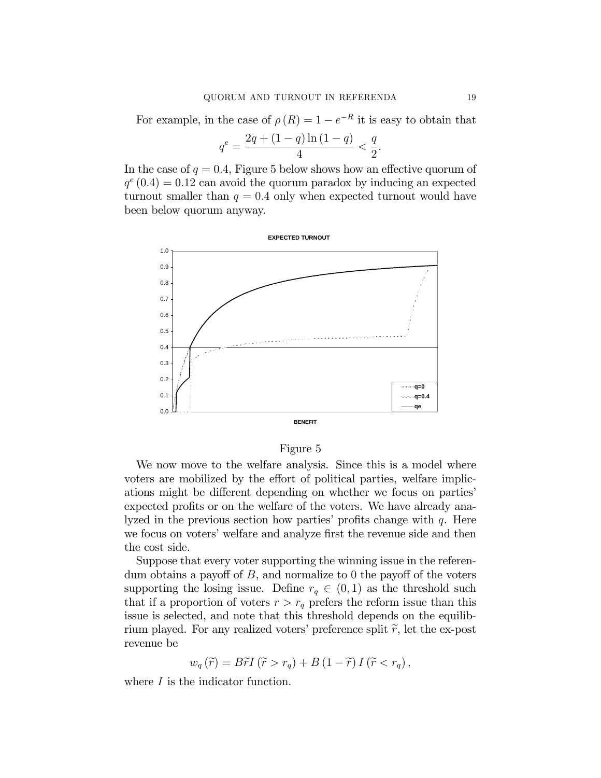For example, in the case of  $\rho(R) = 1 - e^{-R}$  it is easy to obtain that

$$
q^{e} = \frac{2q + (1 - q) \ln(1 - q)}{4} < \frac{q}{2}.
$$

In the case of  $q = 0.4$ , Figure 5 below shows how an effective quorum of  $q^{e}(0.4) = 0.12$  can avoid the quorum paradox by inducing an expected turnout smaller than  $q = 0.4$  only when expected turnout would have been below quorum anyway.



## Figure 5

We now move to the welfare analysis. Since this is a model where voters are mobilized by the effort of political parties, welfare implications might be different depending on whether we focus on parties expected profits or on the welfare of the voters. We have already analyzed in the previous section how parties' profits change with  $q$ . Here we focus on voters' welfare and analyze first the revenue side and then the cost side.

Suppose that every voter supporting the winning issue in the referendum obtains a payoff of  $B$ , and normalize to 0 the payoff of the voters supporting the losing issue. Define  $r_q \in (0, 1)$  as the threshold such that if a proportion of voters  $r > r_q$  prefers the reform issue than this issue is selected, and note that this threshold depends on the equilibrium played. For any realized voters' preference split  $\tilde{r}$ , let the ex-post revenue be

$$
w_q(\widetilde{r}) = B\widetilde{r}I(\widetilde{r} > r_q) + B(1 - \widetilde{r})I(\widetilde{r} < r_q),
$$

where *I* is the indicator function.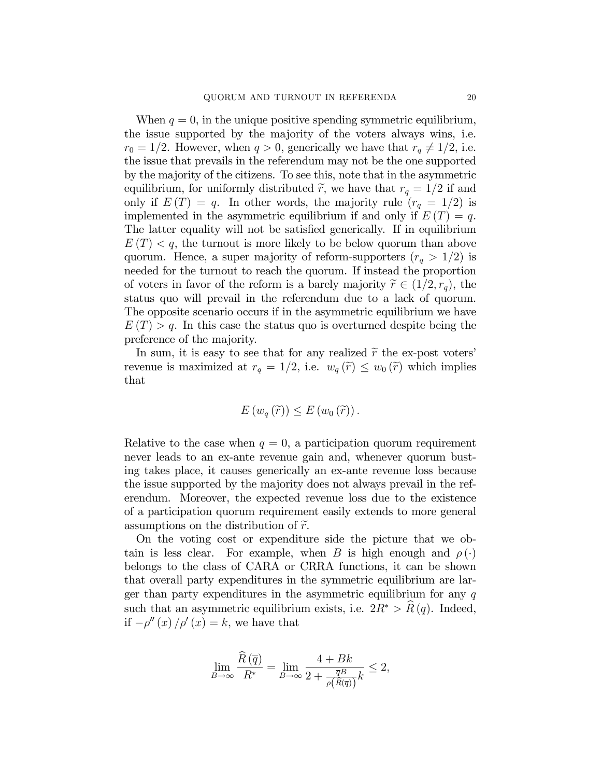When  $q = 0$ , in the unique positive spending symmetric equilibrium, the issue supported by the majority of the voters always wins, i.e.  $r_0 = 1/2$ . However, when  $q > 0$ , generically we have that  $r_q \neq 1/2$ , i.e. the issue that prevails in the referendum may not be the one supported by the majority of the citizens. To see this, note that in the asymmetric equilibrium, for uniformly distributed  $\tilde{r}$ , we have that  $r_q = 1/2$  if and only if  $E(T) = q$ . In other words, the majority rule  $(r_q = 1/2)$  is implemented in the asymmetric equilibrium if and only if  $E(T) = q$ . The latter equality will not be satisfied generically. If in equilibrium  $E(T) < q$ , the turnout is more likely to be below quorum than above quorum. Hence, a super majority of reform-supporters  $(r_q > 1/2)$  is needed for the turnout to reach the quorum. If instead the proportion of voters in favor of the reform is a barely majority  $\tilde{r} \in (1/2, r_q)$ , the status quo will prevail in the referendum due to a lack of quorum. The opposite scenario occurs if in the asymmetric equilibrium we have  $E(T) > q$ . In this case the status quo is overturned despite being the preference of the majority.

In sum, it is easy to see that for any realized  $\tilde{r}$  the ex-post voters' revenue is maximized at  $r_q = 1/2$ , i.e.  $w_q(\tilde{r}) \leq w_0(\tilde{r})$  which implies that

$$
E(w_q(\widetilde{r})) \leq E(w_0(\widetilde{r})).
$$

Relative to the case when  $q = 0$ , a participation quorum requirement never leads to an ex-ante revenue gain and, whenever quorum busting takes place, it causes generically an ex-ante revenue loss because the issue supported by the majority does not always prevail in the referendum. Moreover, the expected revenue loss due to the existence of a participation quorum requirement easily extends to more general assumptions on the distribution of  $\widetilde{r}$ .

On the voting cost or expenditure side the picture that we obtain is less clear. For example, when B is high enough and  $\rho(\cdot)$ belongs to the class of CARA or CRRA functions, it can be shown that overall party expenditures in the symmetric equilibrium are larger than party expenditures in the asymmetric equilibrium for any  $q$ such that an asymmetric equilibrium exists, i.e.  $2R^* > \widehat{R}(q)$ . Indeed, if  $-\rho''(x)/\rho'(x) = k$ , we have that

$$
\lim_{B \to \infty} \frac{\widehat{R}(\overline{q})}{R^*} = \lim_{B \to \infty} \frac{4 + Bk}{2 + \frac{\overline{q}B}{\rho(\widehat{R}(\overline{q}))}k} \le 2,
$$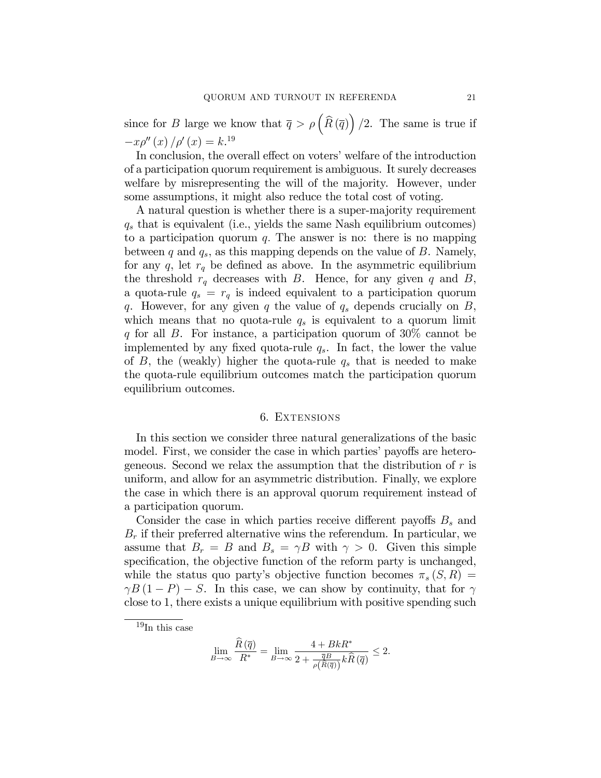since for B large we know that  $\bar{q} > \rho\left(\widehat{R}(\bar{q})\right)/2$ . The same is true if  $-x \rho''(x) / \rho'(x) = k^{19}$ 

In conclusion, the overall effect on voters' welfare of the introduction of a participation quorum requirement is ambiguous. It surely decreases welfare by misrepresenting the will of the majority. However, under some assumptions, it might also reduce the total cost of voting.

A natural question is whether there is a super-majority requirement  $q_s$  that is equivalent (i.e., yields the same Nash equilibrium outcomes) to a participation quorum  $q$ . The answer is no: there is no mapping between q and  $q_s$ , as this mapping depends on the value of B. Namely, for any q, let  $r_q$  be defined as above. In the asymmetric equilibrium the threshold  $r_q$  decreases with B. Hence, for any given q and B, a quota-rule  $q_s = r_q$  is indeed equivalent to a participation quorum q. However, for any given q the value of  $q_s$  depends crucially on  $B$ , which means that no quota-rule  $q_s$  is equivalent to a quorum limit q for all  $B$ . For instance, a participation quorum of 30% cannot be implemented by any fixed quota-rule  $q_s$ . In fact, the lower the value of  $B$ , the (weakly) higher the quota-rule  $q_s$  that is needed to make the quota-rule equilibrium outcomes match the participation quorum equilibrium outcomes.

#### 6. Extensions

In this section we consider three natural generalizations of the basic model. First, we consider the case in which parties' payoffs are heterogeneous. Second we relax the assumption that the distribution of  $r$  is uniform, and allow for an asymmetric distribution. Finally, we explore the case in which there is an approval quorum requirement instead of a participation quorum.

Consider the case in which parties receive different payoffs  $B_s$  and  $B_r$  if their preferred alternative wins the referendum. In particular, we assume that  $B_r = B$  and  $B_s = \gamma B$  with  $\gamma > 0$ . Given this simple specification, the objective function of the reform party is unchanged, while the status quo party's objective function becomes  $\pi_s(S, R) =$  $\gamma B (1 - P) - S$ . In this case, we can show by continuity, that for  $\gamma$ close to 1, there exists a unique equilibrium with positive spending such

$$
\lim_{B \to \infty} \frac{\widehat{R}\left(\overline{q}\right)}{R^*} = \lim_{B \to \infty} \frac{4 + BkR^*}{2 + \frac{\overline{q}B}{\rho\left(\widehat{R}\left(\overline{q}\right)\right)}k\widehat{R}\left(\overline{q}\right)} \leq 2.
$$

 $^{19}{\rm In}$  this case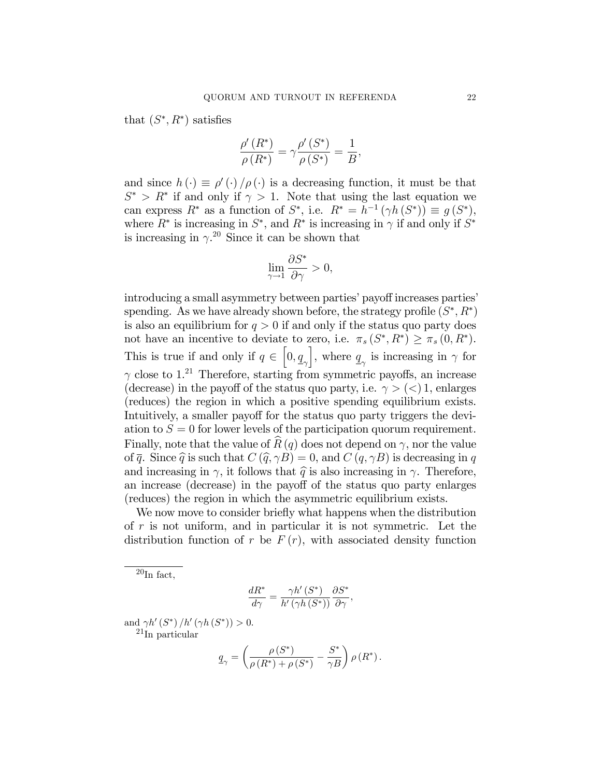that  $(S^*, R^*)$  satisfies

$$
\frac{\rho'(R^*)}{\rho(R^*)} = \gamma \frac{\rho'(S^*)}{\rho(S^*)} = \frac{1}{B},
$$

and since  $h(\cdot) \equiv \rho'(\cdot)/\rho(\cdot)$  is a decreasing function, it must be that  $S^* > R^*$  if and only if  $\gamma > 1$ . Note that using the last equation we can express  $R^*$  as a function of  $S^*$ , i.e.  $R^* = h^{-1}(\gamma h(S^*)) \equiv g(S^*),$ where  $R^*$  is increasing in  $S^*$ , and  $R^*$  is increasing in  $\gamma$  if and only if  $S^*$ is increasing in  $\gamma$ <sup>20</sup> Since it can be shown that

$$
\lim_{\gamma \to 1} \frac{\partial S^*}{\partial \gamma} > 0,
$$

introducing a small asymmetry between parties' payoff increases parties' spending. As we have already shown before, the strategy profile  $(S^*, R^*)$ is also an equilibrium for  $q > 0$  if and only if the status quo party does not have an incentive to deviate to zero, i.e.  $\pi_s(S^*, R^*) \geq \pi_s(0, R^*)$ . This is true if and only if  $q \in \left[0, \underline{q}_{\gamma}\right]$ , where  $q_{\gamma}$  is increasing in  $\gamma$  for  $\gamma$  close to 1.<sup>21</sup> Therefore, starting from symmetric payoffs, an increase (decrease) in the payoff of the status quo party, i.e.  $\gamma > (<1$ , enlarges (reduces) the region in which a positive spending equilibrium exists. Intuitively, a smaller payoff for the status quo party triggers the deviation to  $S = 0$  for lower levels of the participation quorum requirement. Finally, note that the value of  $\widehat{R}(q)$  does not depend on  $\gamma$ , nor the value of  $\overline{q}$ . Since  $\hat{q}$  is such that  $C (\hat{q}, \gamma B) = 0$ , and  $C (q, \gamma B)$  is decreasing in q and increasing in  $\gamma$ , it follows that  $\hat{q}$  is also increasing in  $\gamma$ . Therefore, an increase (decrease) in the payoff of the status quo party enlarges (reduces) the region in which the asymmetric equilibrium exists.

We now move to consider briefly what happens when the distribution of r is not uniform, and in particular it is not symmetric. Let the distribution function of r be  $F(r)$ , with associated density function

 $^{20}$ In fact,

$$
\frac{dR^*}{d\gamma} = \frac{\gamma h'(S^*)}{h'(\gamma h(S^*))} \frac{\partial S^*}{\partial \gamma},
$$

and  $\gamma h'(S^*)/h'(\gamma h(S^*)) > 0.$ 

 $^{21}$ In particular

$$
\underline{q}_\gamma = \left( \frac{\rho\left(S^*\right)}{\rho\left(R^*\right) + \rho\left(S^*\right)} - \frac{S^*}{\gamma B} \right) \rho\left(R^*\right).
$$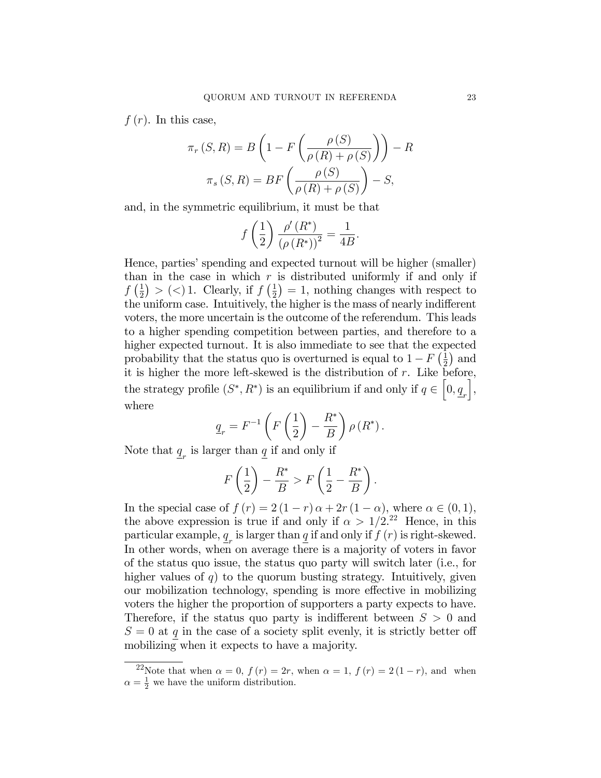$f(r)$ . In this case,

$$
\pi_r(S, R) = B\left(1 - F\left(\frac{\rho(S)}{\rho(R) + \rho(S)}\right)\right) - R
$$

$$
\pi_s(S, R) = BF\left(\frac{\rho(S)}{\rho(R) + \rho(S)}\right) - S,
$$

and, in the symmetric equilibrium, it must be that

$$
f\left(\frac{1}{2}\right)\frac{\rho'(R^*)}{\left(\rho(R^*)\right)^2} = \frac{1}{4B}.
$$

Hence, parties' spending and expected turnout will be higher (smaller) than in the case in which  $r$  is distributed uniformly if and only if  $f\left(\frac{1}{2}\right)$  $\frac{1}{2}$  > (<) 1. Clearly, if  $f\left(\frac{1}{2}\right)$  $(\frac{1}{2}) = 1$ , nothing changes with respect to the uniform case. Intuitively, the higher is the mass of nearly indifferent voters, the more uncertain is the outcome of the referendum. This leads to a higher spending competition between parties, and therefore to a higher expected turnout. It is also immediate to see that the expected probability that the status quo is overturned is equal to  $1 - F\left(\frac{1}{2}\right)$  $(\frac{1}{2})$  and it is higher the more left-skewed is the distribution of  $r$ . Like before, the strategy profile  $(S^*, R^*)$  is an equilibrium if and only if  $q \in [0, \underline{q}_r]$ i , where

$$
\underline{q}_r = F^{-1}\left(F\left(\frac{1}{2}\right) - \frac{R^*}{B}\right)\rho\left(R^*\right).
$$

Note that  $\underline{q}_r$  is larger than  $\underline{q}$  if and only if

$$
F\left(\frac{1}{2}\right) - \frac{R^*}{B} > F\left(\frac{1}{2} - \frac{R^*}{B}\right).
$$

In the special case of  $f(r) = 2(1 - r)\alpha + 2r(1 - \alpha)$ , where  $\alpha \in (0, 1)$ , the above expression is true if and only if  $\alpha > 1/2$ <sup>22</sup> Hence, in this particular example,  $\underline{q}_r$  is larger than  $\underline{q}$  if and only if  $f(r)$  is right-skewed. In other words, when on average there is a majority of voters in favor of the status quo issue, the status quo party will switch later (i.e., for higher values of  $q$ ) to the quorum busting strategy. Intuitively, given our mobilization technology, spending is more effective in mobilizing voters the higher the proportion of supporters a party expects to have. Therefore, if the status quo party is indifferent between  $S > 0$  and  $S = 0$  at q in the case of a society split evenly, it is strictly better off mobilizing when it expects to have a majority.

<sup>&</sup>lt;sup>22</sup>Note that when  $\alpha = 0$ ,  $f(r) = 2r$ , when  $\alpha = 1$ ,  $f(r) = 2(1 - r)$ , and when  $\alpha = \frac{1}{2}$  we have the uniform distribution.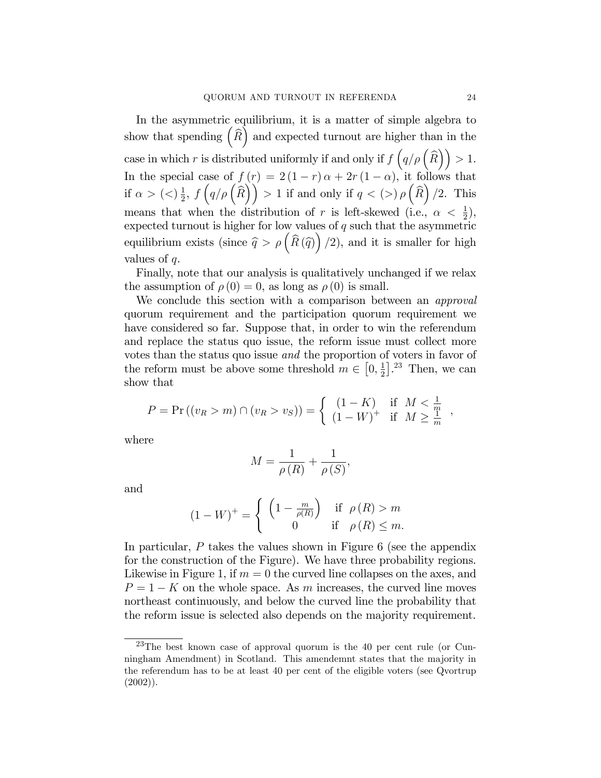In the asymmetric equilibrium, it is a matter of simple algebra to show that spending  $(\widehat{R})$  and expected turnout are higher than in the case in which r is distributed uniformly if and only if  $f(q/\rho\left(\widehat{R}\right)) > 1$ . In the special case of  $f(r) = 2(1 - r)\alpha + 2r(1 - \alpha)$ , it follows that if  $\alpha > \left( < \right) \frac{1}{2}$  $\frac{1}{2}$ ,  $f\left(q/\rho\left(\widehat{R}\right)\right) > 1$  if and only if  $q < (>) \rho\left(\widehat{R}\right)/2$ . This means that when the distribution of r is left-skewed (i.e.,  $\alpha < \frac{1}{2}$ ), expected turnout is higher for low values of  $q$  such that the asymmetric equilibrium exists (since  $\hat{q} > \rho\left(\widehat{R}(\widehat{q})\right)/2$ ), and it is smaller for high values of  $q$ .

Finally, note that our analysis is qualitatively unchanged if we relax the assumption of  $\rho(0) = 0$ , as long as  $\rho(0)$  is small.

We conclude this section with a comparison between an *approval* quorum requirement and the participation quorum requirement we have considered so far. Suppose that, in order to win the referendum and replace the status quo issue, the reform issue must collect more votes than the status quo issue and the proportion of voters in favor of the reform must be above some threshold  $m \in [0, \frac{1}{2}]$  $\frac{1}{2}$ .<sup>23</sup> Then, we can show that

$$
P = \Pr((v_R > m) \cap (v_R > v_S)) = \begin{cases} (1 - K) & \text{if } M < \frac{1}{m} \\ (1 - W)^{+} & \text{if } M \ge \frac{1}{m} \end{cases}
$$

where

$$
M = \frac{1}{\rho(R)} + \frac{1}{\rho(S)},
$$

and

$$
(1 - W)^{+} = \begin{cases} \left(1 - \frac{m}{\rho(R)}\right) & \text{if } \rho(R) > m\\ 0 & \text{if } \rho(R) \leq m. \end{cases}
$$

In particular, P takes the values shown in Figure 6 (see the appendix for the construction of the Figure). We have three probability regions. Likewise in Figure 1, if  $m = 0$  the curved line collapses on the axes, and  $P = 1 - K$  on the whole space. As m increases, the curved line moves northeast continuously, and below the curved line the probability that the reform issue is selected also depends on the majority requirement.

<sup>23</sup>The best known case of approval quorum is the 40 per cent rule (or Cunningham Amendment) in Scotland. This amendemnt states that the majority in the referendum has to be at least 40 per cent of the eligible voters (see Qvortrup  $(2002)$ ).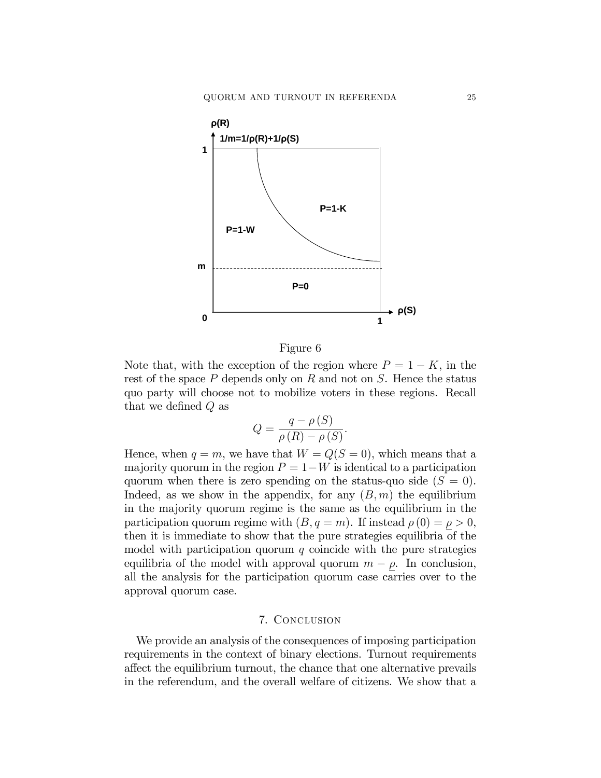

Figure 6

Note that, with the exception of the region where  $P = 1 - K$ , in the rest of the space  $P$  depends only on  $R$  and not on  $S$ . Hence the status quo party will choose not to mobilize voters in these regions. Recall that we defined  $Q$  as

$$
Q = \frac{q - \rho(S)}{\rho(R) - \rho(S)}.
$$

Hence, when  $q = m$ , we have that  $W = Q(S = 0)$ , which means that a majority quorum in the region  $P = 1-W$  is identical to a participation quorum when there is zero spending on the status-quo side  $(S = 0)$ . Indeed, as we show in the appendix, for any  $(B, m)$  the equilibrium in the majority quorum regime is the same as the equilibrium in the participation quorum regime with  $(B, q = m)$ . If instead  $\rho(0) = \rho > 0$ , then it is immediate to show that the pure strategies equilibria of the model with participation quorum  $q$  coincide with the pure strategies equilibria of the model with approval quorum  $m - \rho$ . In conclusion, all the analysis for the participation quorum case carries over to the approval quorum case.

#### 7. Conclusion

We provide an analysis of the consequences of imposing participation requirements in the context of binary elections. Turnout requirements a§ect the equilibrium turnout, the chance that one alternative prevails in the referendum, and the overall welfare of citizens. We show that a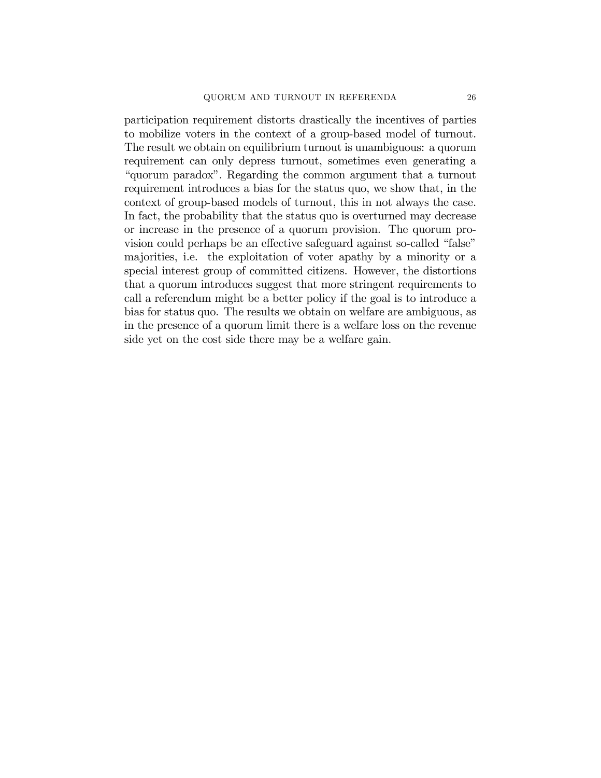participation requirement distorts drastically the incentives of parties to mobilize voters in the context of a group-based model of turnout. The result we obtain on equilibrium turnout is unambiguous: a quorum requirement can only depress turnout, sometimes even generating a ìquorum paradoxî. Regarding the common argument that a turnout requirement introduces a bias for the status quo, we show that, in the context of group-based models of turnout, this in not always the case. In fact, the probability that the status quo is overturned may decrease or increase in the presence of a quorum provision. The quorum provision could perhaps be an effective safeguard against so-called "false" majorities, i.e. the exploitation of voter apathy by a minority or a special interest group of committed citizens. However, the distortions that a quorum introduces suggest that more stringent requirements to call a referendum might be a better policy if the goal is to introduce a bias for status quo. The results we obtain on welfare are ambiguous, as in the presence of a quorum limit there is a welfare loss on the revenue side yet on the cost side there may be a welfare gain.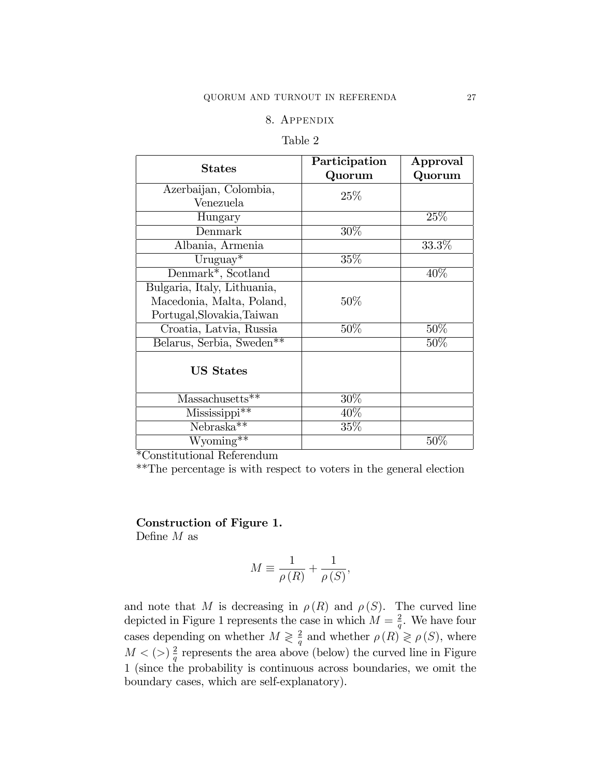## 8. Appendix

# Table 2

| <b>States</b>                   | Participation | Approval |
|---------------------------------|---------------|----------|
|                                 | Quorum        | Quorum   |
| Azerbaijan, Colombia,           | 25%           |          |
| Venezuela                       |               |          |
| Hungary                         |               | 25%      |
| Denmark                         | 30%           |          |
| Albania, Armenia                |               | 33.3%    |
| Uruguay <sup>*</sup>            | $35\%$        |          |
| Denmark <sup>*</sup> , Scotland |               | 40%      |
| Bulgaria, Italy, Lithuania,     |               |          |
| Macedonia, Malta, Poland,       | 50%           |          |
| Portugal, Slovakia, Taiwan      |               |          |
| Croatia, Latvia, Russia         | $50\%$        | 50%      |
| Belarus, Serbia, Sweden**       |               | $50\%$   |
| <b>US States</b>                |               |          |
| Massachusetts**                 | $30\%$        |          |
| Mississippi**                   | 40\%          |          |
| Nebraska**                      | $35\%$        |          |
| $Wyoming**$                     |               | $50\%$   |

\*Constitutional Referendum

\*\*The percentage is with respect to voters in the general election

### Construction of Figure 1.

Define  $M$  as

$$
M \equiv \frac{1}{\rho(R)} + \frac{1}{\rho(S)},
$$

and note that M is decreasing in  $\rho(R)$  and  $\rho(S)$ . The curved line depicted in Figure 1 represents the case in which  $M = \frac{2}{a}$  $\frac{2}{q}$ . We have four cases depending on whether  $M \geqslant \frac{2}{a}$  $\frac{2}{q}$  and whether  $\rho(R) \geqslant \rho(S)$ , where  $M < (>) \frac{2}{a}$  $\frac{2}{q}$  represents the area above (below) the curved line in Figure 1 (since the probability is continuous across boundaries, we omit the boundary cases, which are self-explanatory).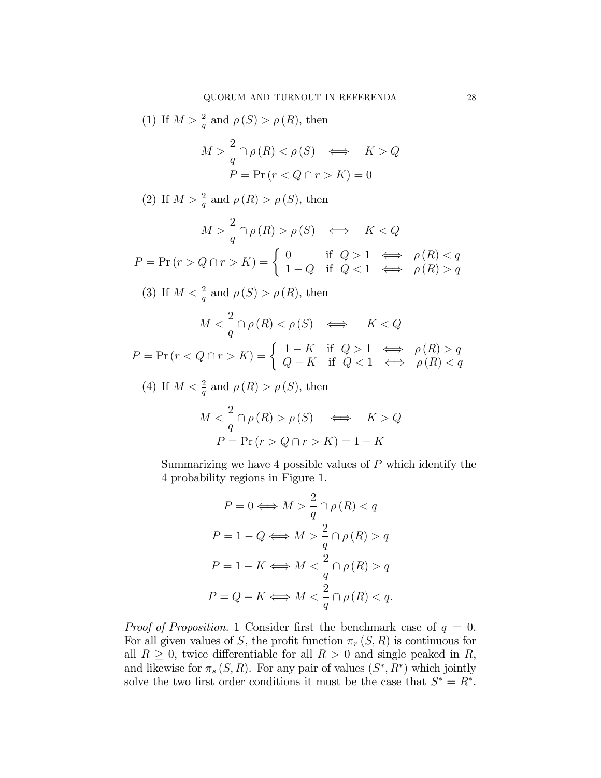(1) If  $M > \frac{2}{q}$  and  $\rho(S) > \rho(R)$ , then  $M > \frac{2}{3}$  $\frac{2}{q} \cap \rho(R) < \rho(S) \iff K > Q$  $P = Pr(r < Q \cap r > K) = 0$ (2) If  $M > \frac{2}{q}$  and  $\rho(R) > \rho(S)$ , then  $M > \frac{2}{3}$  $\frac{2}{q} \cap \rho(R) > \rho(S) \iff K < Q$  $P = \Pr(r > Q \cap r > K) = \begin{cases} 0 & \text{if } Q > 1 \iff \rho(R) < q \\ 1 - Q & \text{if } Q < 1 \iff \rho(R) > q \end{cases}$  $1 - Q$  if  $Q < 1 \iff \rho(R) > q$ (3) If  $M < \frac{2}{q}$  and  $\rho(S) > \rho(R)$ , then  $M < \frac{2}{\epsilon}$  $\frac{2}{q} \cap \rho(R) < \rho(S) \iff K < Q$  $P = \Pr(r < Q \cap r > K) = \begin{cases} 1 - K & \text{if } Q > 1 \iff \rho(R) > q \\ Q - K & \text{if } Q < 1 \iff \rho(R) < q \end{cases}$  $Q - K$  if  $Q < 1 \iff \rho(R) < q$ (4) If  $M < \frac{2}{q}$  and  $\rho(R) > \rho(S)$ , then  $M < \frac{2}{\epsilon}$  $\frac{2}{q} \cap \rho(R) > \rho(S) \iff K > Q$  $P = Pr(r > Q \cap r > K) = 1 - K$ 

Summarizing we have 4 possible values of P which identify the 4 probability regions in Figure 1.

$$
P = 0 \Longleftrightarrow M > \frac{2}{q} \cap \rho(R) < q
$$
  

$$
P = 1 - Q \Longleftrightarrow M > \frac{2}{q} \cap \rho(R) > q
$$
  

$$
P = 1 - K \Longleftrightarrow M < \frac{2}{q} \cap \rho(R) > q
$$
  

$$
P = Q - K \Longleftrightarrow M < \frac{2}{q} \cap \rho(R) < q.
$$

*Proof of Proposition.* 1 Consider first the benchmark case of  $q = 0$ . For all given values of S, the profit function  $\pi_r(S, R)$  is continuous for all  $R \geq 0$ , twice differentiable for all  $R > 0$  and single peaked in R, and likewise for  $\pi_s(S, R)$ . For any pair of values  $(S^*, R^*)$  which jointly solve the two first order conditions it must be the case that  $S^* = R^*$ .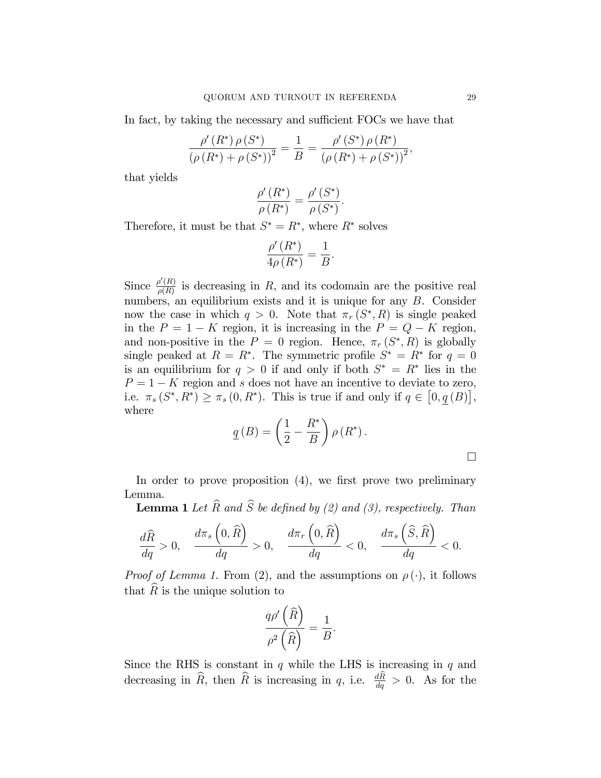In fact, by taking the necessary and sufficient FOCs we have that

$$
\frac{\rho'(R^*) \rho(S^*)}{(\rho(R^*) + \rho(S^*))^2} = \frac{1}{B} = \frac{\rho'(S^*) \rho(R^*)}{(\rho(R^*) + \rho(S^*))^2},
$$

that yields

$$
\frac{\rho'(R^*)}{\rho(R^*)} = \frac{\rho'(S^*)}{\rho(S^*)}.
$$

Therefore, it must be that  $S^* = R^*$ , where  $R^*$  solves

$$
\frac{\rho'(R^*)}{4\rho(R^*)} = \frac{1}{B}
$$

:

Since  $\frac{\rho'(R)}{\rho(R)}$  $\frac{\partial^{S}(R)}{\partial(R)}$  is decreasing in R, and its codomain are the positive real numbers, an equilibrium exists and it is unique for any B. Consider now the case in which  $q > 0$ . Note that  $\pi_r(S^*, R)$  is single peaked in the  $P = 1 - K$  region, it is increasing in the  $P = Q - K$  region, and non-positive in the  $P = 0$  region. Hence,  $\pi_r(S^*, R)$  is globally single peaked at  $R = R^*$ . The symmetric profile  $S^* = R^*$  for  $q = 0$ is an equilibrium for  $q > 0$  if and only if both  $S^* = R^*$  lies in the  $P = 1 - K$  region and s does not have an incentive to deviate to zero, i.e.  $\pi_s(S^*, R^*) \geq \pi_s(0, R^*)$ . This is true if and only if  $q \in [0, \underline{q}(B)]$ , where

$$
\underline{q}(B) = \left(\frac{1}{2} - \frac{R^*}{B}\right)\rho(R^*).
$$

In order to prove proposition  $(4)$ , we first prove two preliminary Lemma.

**Lemma 1** Let  $\widehat{R}$  and  $\widehat{S}$  be defined by (2) and (3), respectively. Than

$$
\frac{d\widehat{R}}{dq} > 0, \quad \frac{d\pi_s\left(0, \widehat{R}\right)}{dq} > 0, \quad \frac{d\pi_r\left(0, \widehat{R}\right)}{dq} < 0, \quad \frac{d\pi_s\left(\widehat{S}, \widehat{R}\right)}{dq} < 0.
$$

*Proof of Lemma 1.* From (2), and the assumptions on  $\rho(\cdot)$ , it follows that  $\widehat{R}$  is the unique solution to

$$
\frac{q\rho'\left(\widehat{R}\right)}{\rho^2\left(\widehat{R}\right)} = \frac{1}{B}.
$$

Since the RHS is constant in  $q$  while the LHS is increasing in  $q$  and decreasing in  $\hat{R}$ , then  $\hat{R}$  is increasing in q, i.e.  $\frac{dR}{dq} > 0$ . As for the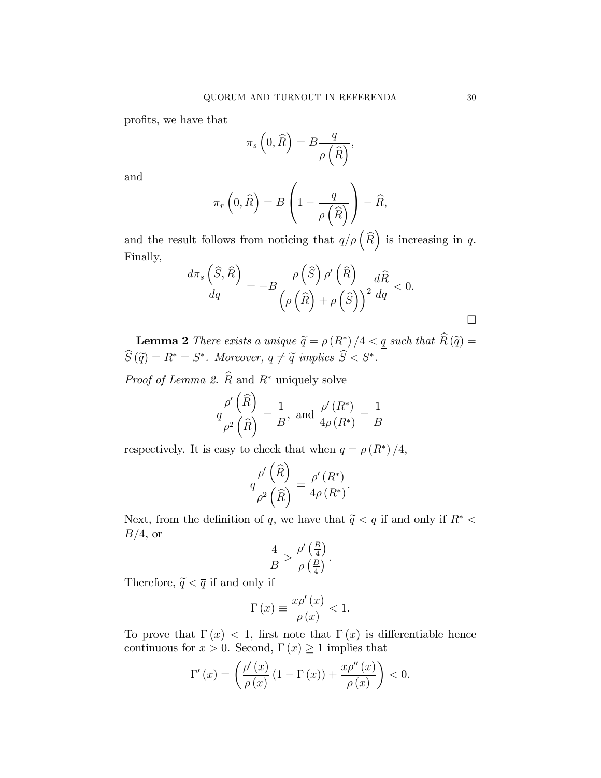profits, we have that

$$
\pi_s\left(0,\widehat{R}\right)=B\frac{q}{\rho\left(\widehat{R}\right)},
$$

and

$$
\pi_r\left(0,\widehat{R}\right) = B\left(1 - \frac{q}{\rho\left(\widehat{R}\right)}\right) - \widehat{R},\,
$$

and the result follows from noticing that  $q/\rho\left(\widehat{R}\right)$  is increasing in q. Finally,

$$
\frac{d\pi_s\left(\widehat{S},\widehat{R}\right)}{dq} = -B\frac{\rho\left(\widehat{S}\right)\rho'\left(\widehat{R}\right)}{\left(\rho\left(\widehat{R}\right) + \rho\left(\widehat{S}\right)\right)^2}\frac{d\widehat{R}}{dq} < 0.
$$

**Lemma 2** There exists a unique  $\widetilde{q} = \rho(R^*)/4 < q$  such that  $R(\widetilde{q}) =$  $S(\widetilde{q}) = R^* = S^*$ . Moreover,  $q \neq \widetilde{q}$  implies  $S < S^*$ .

*Proof of Lemma 2.*  $\widehat{R}$  and  $R^*$  uniquely solve

$$
q\frac{\rho'\left(\widehat{R}\right)}{\rho^2\left(\widehat{R}\right)} = \frac{1}{B}, \text{ and } \frac{\rho'\left(R^*\right)}{4\rho\left(R^*\right)} = \frac{1}{B}
$$

respectively. It is easy to check that when  $q = \rho(R^*)/4$ ,

$$
q\frac{\rho'\left(\widehat{R}\right)}{\rho^2\left(\widehat{R}\right)} = \frac{\rho'\left(R^*\right)}{4\rho\left(R^*\right)}.
$$

Next, from the definition of  $\underline{q}$ , we have that  $\widetilde{q} < \underline{q}$  if and only if  $R^* <$  $B/4$ , or

$$
\frac{4}{B} > \frac{\rho'\left(\frac{B}{4}\right)}{\rho\left(\frac{B}{4}\right)}.
$$

Therefore,  $\widetilde{q}<\overline{q}$  if and only if

$$
\Gamma\left(x\right) \equiv \frac{x\rho'\left(x\right)}{\rho\left(x\right)} < 1.
$$

To prove that  $\Gamma(x) < 1$ , first note that  $\Gamma(x)$  is differentiable hence continuous for  $x > 0$ . Second,  $\Gamma(x) \geq 1$  implies that

$$
\Gamma'(x) = \left(\frac{\rho'(x)}{\rho(x)}\left(1 - \Gamma(x)\right) + \frac{x\rho''(x)}{\rho(x)}\right) < 0.
$$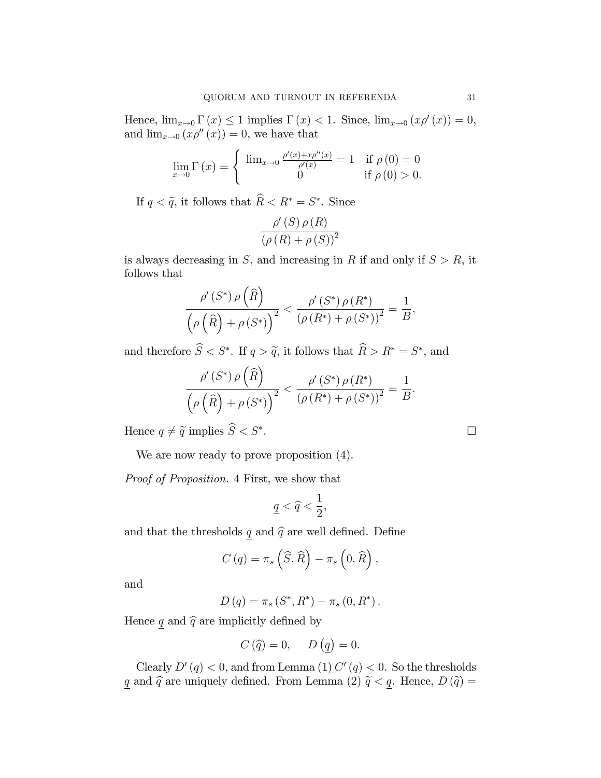Hence,  $\lim_{x\to 0} \Gamma(x) \le 1$  implies  $\Gamma(x) < 1$ . Since,  $\lim_{x\to 0} (x\rho'(x)) = 0$ , and  $\lim_{x\to 0} (x\rho''(x)) = 0$ , we have that

$$
\lim_{x \to 0} \Gamma(x) = \begin{cases} \lim_{x \to 0} \frac{\rho'(x) + x \rho''(x)}{\rho'(x)} = 1 & \text{if } \rho(0) = 0\\ 0 & \text{if } \rho(0) > 0. \end{cases}
$$

If  $q < \tilde{q}$ , it follows that  $R < R^* = S^*$ . Since

$$
\frac{\rho'(S)\,\rho(R)}{\left(\rho(R)+\rho(S)\right)^2}
$$

is always decreasing in S, and increasing in R if and only if  $S > R$ , it follows that

$$
\frac{\rho'(S^*)\,\rho(\widehat{R})}{\left(\rho(\widehat{R})+\rho(S^*)\right)^2} < \frac{\rho'(S^*)\,\rho(R^*)}{\left(\rho(R^*)+\rho(S^*)\right)^2} = \frac{1}{B},
$$

and therefore  $S < S^*$ . If  $q > \tilde{q}$ , it follows that  $R > R^* = S^*$ , and

$$
\frac{\rho'(S^*)\,\rho(\widehat{R})}{\left(\rho(\widehat{R})+\rho(S^*)\right)^2} < \frac{\rho'(S^*)\,\rho(R^*)}{\left(\rho(R^*)+\rho(S^*)\right)^2} = \frac{1}{B}.
$$

Hence  $q \neq \tilde{q}$  implies  $\widehat{S} < S^*$ .

We are now ready to prove proposition  $(4)$ .

Proof of Proposition. 4 First, we show that

$$
\underline{q}<\widehat{q}<\frac{1}{2},
$$

and that the thresholds  $q$  and  $\widehat{q}$  are well defined. Define

$$
C(q) = \pi_s\left(\widehat{S},\widehat{R}\right) - \pi_s\left(0,\widehat{R}\right),\,
$$

and

$$
D(q) = \pi_s(S^*, R^*) - \pi_s(0, R^*).
$$

Hence  $q$  and  $\widehat{q}$  are implicitly defined by

$$
C(\widehat{q}) = 0, \quad D(\underline{q}) = 0.
$$

Clearly  $D'(q) < 0$ , and from Lemma (1)  $C'(q) < 0$ . So the thresholds  $q$  and  $\widehat{q}$  are uniquely defined. From Lemma (2)  $\widetilde{q} < q.$  Hence,  $D \left( \widetilde{q} \right) =$ 

. В последните последните последните последните последните и производството на применение од селото на примен<br>В последните последните последните последните последните последните последните последните последните последнит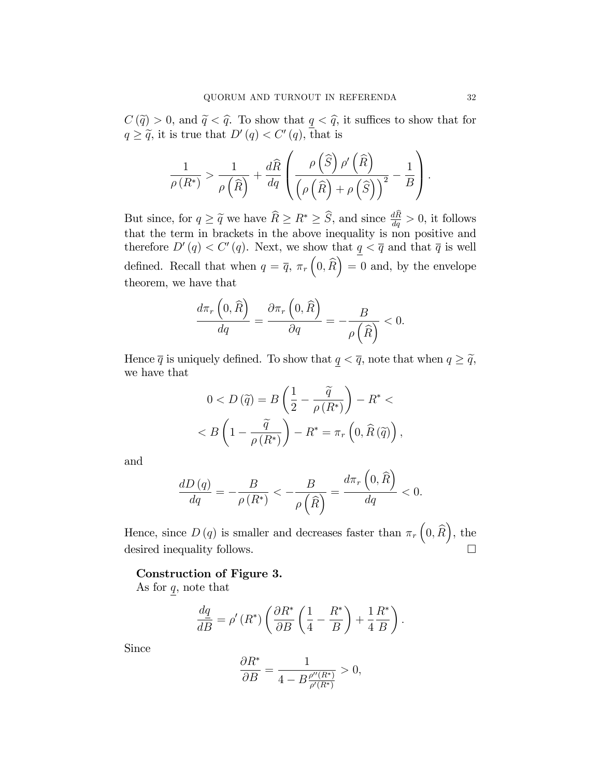$C(\tilde{q}) > 0$ , and  $\tilde{q} < \hat{q}$ . To show that  $q < \hat{q}$ , it suffices to show that for  $q \geq \tilde{q}$ , it is true that  $D'(q) < C'(q)$ , that is

$$
\frac{1}{\rho(R^*)} > \frac{1}{\rho(\widehat{R})} + \frac{d\widehat{R}}{dq} \left( \frac{\rho(\widehat{S}) \rho'(\widehat{R})}{\left(\rho(\widehat{R}) + \rho(\widehat{S})\right)^2} - \frac{1}{B} \right).
$$

But since, for  $q \geq \tilde{q}$  we have  $\widehat{R} \geq R^* \geq \widehat{S}$ , and since  $\frac{dR}{dq} > 0$ , it follows that the term in brackets in the above inequality is non positive and therefore  $D'(q) < C'(q)$ . Next, we show that  $q < \overline{q}$  and that  $\overline{q}$  is well defined. Recall that when  $q = \overline{q}$ ,  $\pi_r\left(0, \widehat{R}\right) = 0$  and, by the envelope theorem, we have that

$$
\frac{d\pi_r\left(0,\widehat{R}\right)}{dq} = \frac{\partial\pi_r\left(0,\widehat{R}\right)}{\partial q} = -\frac{B}{\rho\left(\widehat{R}\right)} < 0.
$$

Hence  $\overline{q}$  is uniquely defined. To show that  $q < \overline{q}$ , note that when  $q \geq \tilde{q}$ , we have that

$$
0 < D(\widetilde{q}) = B\left(\frac{1}{2} - \frac{\widetilde{q}}{\rho(R^*)}\right) - R^* < \\ < B\left(1 - \frac{\widetilde{q}}{\rho(R^*)}\right) - R^* = \pi_r\left(0, \widehat{R}(\widetilde{q})\right),
$$

and

$$
\frac{dD(q)}{dq} = -\frac{B}{\rho(R^*)} < -\frac{B}{\rho\left(\widehat{R}\right)} = \frac{d\pi_r\left(0, \widehat{R}\right)}{dq} < 0.
$$

Hence, since  $D(q)$  is smaller and decreases faster than  $\pi_r\left(0, \widehat{R}\right)$ , the desired inequality follows.

# Construction of Figure 3.

As for  $q$ , note that

$$
\frac{dq}{dB} = \rho'(R^*) \left( \frac{\partial R^*}{\partial B} \left( \frac{1}{4} - \frac{R^*}{B} \right) + \frac{1}{4} \frac{R^*}{B} \right).
$$

Since

$$
\frac{\partial R^*}{\partial B} = \frac{1}{4 - B \frac{\rho''(R^*)}{\rho'(R^*)}} > 0,
$$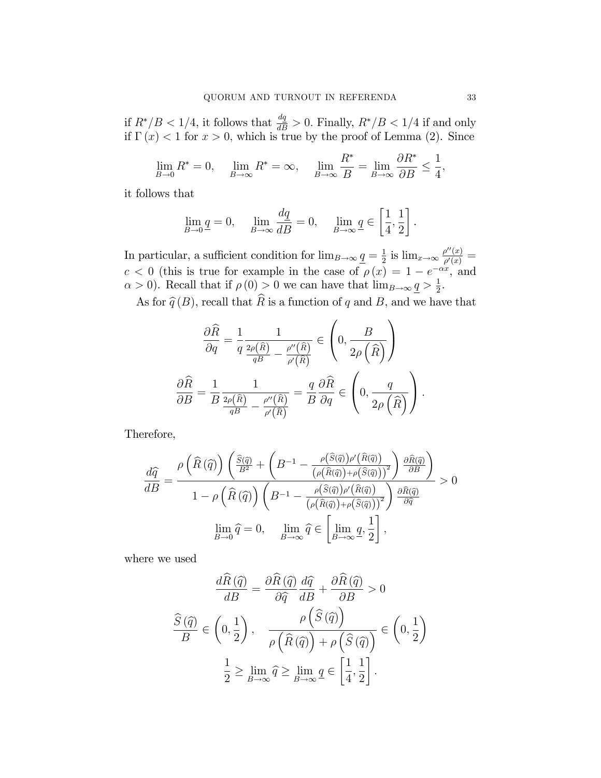if  $R^*/B < 1/4$ , it follows that  $\frac{dq}{dB} > 0$ . Finally,  $R^*/B < 1/4$  if and only if  $\Gamma(x) < 1$  for  $x > 0$ , which is true by the proof of Lemma (2). Since

$$
\lim_{B \to 0} R^* = 0, \quad \lim_{B \to \infty} R^* = \infty, \quad \lim_{B \to \infty} \frac{R^*}{B} = \lim_{B \to \infty} \frac{\partial R^*}{\partial B} \le \frac{1}{4},
$$

it follows that

$$
\lim_{B \to 0} \underline{q} = 0, \quad \lim_{B \to \infty} \frac{d\underline{q}}{dB} = 0, \quad \lim_{B \to \infty} \underline{q} \in \left[\frac{1}{4}, \frac{1}{2}\right].
$$

In particular, a sufficient condition for  $\lim_{B\to\infty} \underline{q} = \frac{1}{2}$  $\frac{1}{2}$  is  $\lim_{x\to\infty} \frac{\rho''(x)}{\rho'(x)}$  $\frac{\rho^{\prime\prime}(x)}{\rho^{\prime}(x)}=$  $c < 0$  (this is true for example in the case of  $\rho(x) = 1 - e^{-\alpha x}$ , and  $\alpha > 0$ ). Recall that if  $\rho(0) > 0$  we can have that  $\lim_{B \to \infty} \underline{q} > \frac{1}{2}$  $\frac{1}{2}$ .

As for  $\hat{q}(B)$ , recall that  $\hat{R}$  is a function of q and B, and we have that

$$
\frac{\partial \widehat{R}}{\partial q} = \frac{1}{q} \frac{1}{\frac{2\rho(\widehat{R})}{qB} - \frac{\rho''(\widehat{R})}{\rho'(\widehat{R})}} \in \left(0, \frac{B}{2\rho(\widehat{R})}\right)
$$

$$
\frac{\partial \widehat{R}}{\partial B} = \frac{1}{B} \frac{1}{\frac{2\rho(\widehat{R})}{qB} - \frac{\rho''(\widehat{R})}{\rho'(\widehat{R})}} = \frac{q}{B} \frac{\partial \widehat{R}}{\partial q} \in \left(0, \frac{q}{2\rho(\widehat{R})}\right).
$$

Therefore,

$$
\frac{d\hat{q}}{dB} = \frac{\rho\left(\hat{R}\left(\hat{q}\right)\right)\left(\frac{\hat{S}(\hat{q})}{B^2} + \left(B^{-1} - \frac{\rho(\hat{S}(\hat{q}))\rho'(\hat{R}(\hat{q}))}{\left(\rho(\hat{R}(\hat{q})) + \rho(\hat{S}(\hat{q}))\right)^2}\right)\frac{\partial\hat{R}(\hat{q})}{\partial B}}{1 - \rho\left(\hat{R}\left(\hat{q}\right)\right)\left(B^{-1} - \frac{\rho(\hat{S}(\hat{q}))\rho'(\hat{R}(\hat{q}))}{\left(\rho(\hat{R}(\hat{q})) + \rho(\hat{S}(\hat{q}))\right)^2}\right)\frac{\partial\hat{R}(\hat{q})}{\partial\hat{q}}} > 0
$$
\n
$$
\lim_{B \to 0} \hat{q} = 0, \quad \lim_{B \to \infty} \hat{q} \in \left[\lim_{B \to \infty} \frac{q}{2}, \frac{1}{2}\right],
$$

where we used

$$
\frac{d\widehat{R}(\widehat{q})}{dB} = \frac{\partial \widehat{R}(\widehat{q})}{\partial \widehat{q}} \frac{d\widehat{q}}{dB} + \frac{\partial \widehat{R}(\widehat{q})}{\partial B} > 0
$$

$$
\frac{\widehat{S}(\widehat{q})}{B} \in \left(0, \frac{1}{2}\right), \quad \frac{\rho\left(\widehat{S}(\widehat{q})\right)}{\rho\left(\widehat{R}(\widehat{q})\right) + \rho\left(\widehat{S}(\widehat{q})\right)} \in \left(0, \frac{1}{2}\right)
$$

$$
\frac{1}{2} \ge \lim_{B \to \infty} \widehat{q} \ge \lim_{B \to \infty} q \in \left[\frac{1}{4}, \frac{1}{2}\right].
$$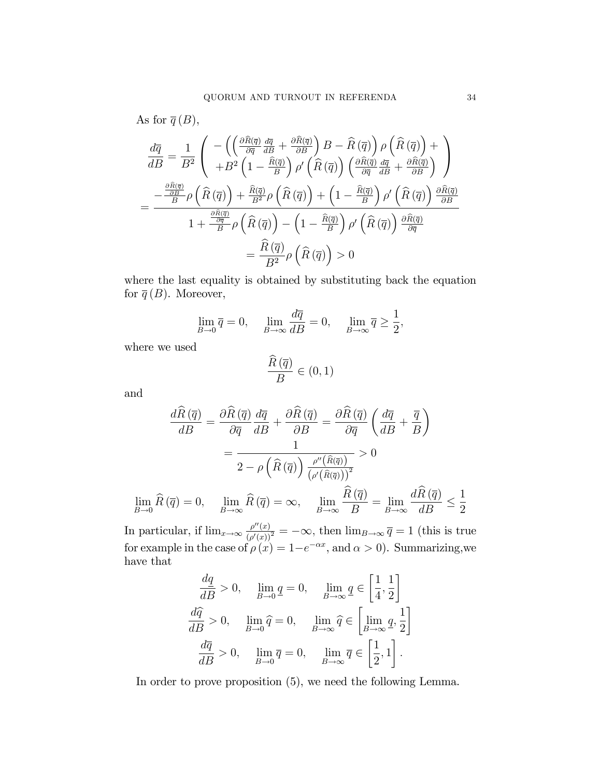As for  $\overline{q}(B)$ ,

$$
\frac{d\overline{q}}{dB} = \frac{1}{B^2} \left( \begin{array}{c} -\left( \left( \frac{\partial \widehat{R}(\overline{q})}{\partial \overline{q}} \frac{d\overline{q}}{dB} + \frac{\partial \widehat{R}(\overline{q})}{\partial B} \right) B - \widehat{R}(\overline{q}) \right) \rho \left( \widehat{R}(\overline{q}) \right) + \\ +B^2 \left( 1 - \frac{\widehat{R}(\overline{q})}{B} \right) \rho' \left( \widehat{R}(\overline{q}) \right) \left( \frac{\partial \widehat{R}(\overline{q})}{\partial \overline{q}} \frac{d\overline{q}}{dB} + \frac{\partial \widehat{R}(\overline{q})}{\partial B} \right) \right) \\ = \frac{-\frac{\partial \widehat{R}(\overline{q})}{B}}{B} \rho \left( \widehat{R}(\overline{q}) \right) + \frac{\widehat{R}(\overline{q})}{B^2} \rho \left( \widehat{R}(\overline{q}) \right) + \left( 1 - \frac{\widehat{R}(\overline{q})}{B} \right) \rho' \left( \widehat{R}(\overline{q}) \right) \frac{\partial \widehat{R}(\overline{q})}{\partial B} \\ 1 + \frac{\frac{\partial \widehat{R}(\overline{q})}{\partial \overline{q}}}{B} \rho \left( \widehat{R}(\overline{q}) \right) - \left( 1 - \frac{\widehat{R}(\overline{q})}{B} \right) \rho' \left( \widehat{R}(\overline{q}) \right) \frac{\partial \widehat{R}(\overline{q})}{\partial \overline{q}} \\ = \frac{\widehat{R}(\overline{q})}{B^2} \rho \left( \widehat{R}(\overline{q}) \right) > 0 \end{array}
$$

where the last equality is obtained by substituting back the equation for  $\overline{q}(B)$ . Moreover,

$$
\lim_{B \to 0} \overline{q} = 0, \quad \lim_{B \to \infty} \frac{d\overline{q}}{dB} = 0, \quad \lim_{B \to \infty} \overline{q} \ge \frac{1}{2},
$$

where we used

$$
\frac{\widehat{R}\left(\overline{q}\right)}{B} \in (0,1)
$$

and

$$
\frac{d\widehat{R}(\overline{q})}{dB} = \frac{\partial \widehat{R}(\overline{q})}{\partial \overline{q}} \frac{d\overline{q}}{dB} + \frac{\partial \widehat{R}(\overline{q})}{\partial B} = \frac{\partial \widehat{R}(\overline{q})}{\partial \overline{q}} \left( \frac{d\overline{q}}{dB} + \frac{\overline{q}}{B} \right)
$$

$$
= \frac{1}{2 - \rho \left( \widehat{R}(\overline{q}) \right) \frac{\rho''(\widehat{R}(\overline{q}))}{\left( \rho'(\widehat{R}(\overline{q})) \right)^2}} > 0
$$

$$
\lim_{B \to 0} \widehat{R}(\overline{q}) = 0, \quad \lim_{B \to \infty} \widehat{R}(\overline{q}) = \infty, \quad \lim_{B \to \infty} \frac{\widehat{R}(\overline{q})}{B} = \lim_{B \to \infty} \frac{d\widehat{R}(\overline{q})}{dB} \le \frac{1}{2}
$$

In particular, if  $\lim_{x\to\infty} \frac{\rho''(x)}{(\rho'(x))}$  $\frac{\overline{\rho}(x)}{(\rho'(x))^2} = -\infty$ , then  $\lim_{B\to\infty} \overline{q} = 1$  (this is true for example in the case of  $\rho(x) = 1-e^{-\alpha x}$ , and  $\alpha > 0$ ). Summarizing, we have that

$$
\frac{dq}{dB} > 0, \quad \lim_{B \to 0} q = 0, \quad \lim_{B \to \infty} q \in \left[\frac{1}{4}, \frac{1}{2}\right]
$$

$$
\frac{d\hat{q}}{dB} > 0, \quad \lim_{B \to 0} \hat{q} = 0, \quad \lim_{B \to \infty} \hat{q} \in \left[\lim_{B \to \infty} \frac{1}{2}, \frac{1}{2}\right]
$$

$$
\frac{d\overline{q}}{dB} > 0, \quad \lim_{B \to 0} \overline{q} = 0, \quad \lim_{B \to \infty} \overline{q} \in \left[\frac{1}{2}, 1\right].
$$

In order to prove proposition (5), we need the following Lemma.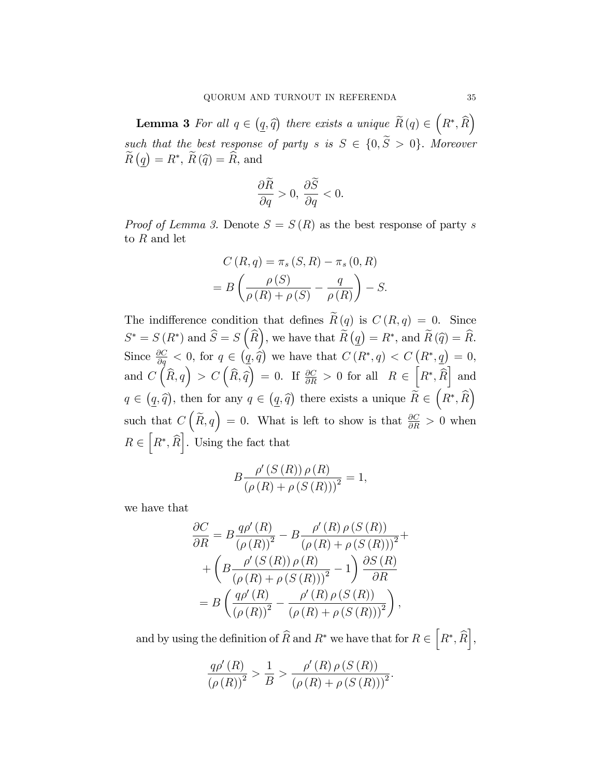**Lemma 3** For all  $q \in (q, \hat{q})$  there exists a unique  $\widetilde{R}(q) \in (R^*, \widehat{R})$ such that the best response of party s is  $S \in \{0, \widetilde{S} > 0\}$ . Moreover  $\widetilde{R}(\underline{q}) = R^*, \,\widetilde{R}(\widehat{q}) = \widehat{R}$ , and

$$
\frac{\partial \widetilde{R}}{\partial q} > 0, \, \frac{\partial \widetilde{S}}{\partial q} < 0.
$$

*Proof of Lemma 3.* Denote  $S = S(R)$  as the best response of party s to R and let

$$
C(R,q) = \pi_s(S,R) - \pi_s(0,R)
$$

$$
= B\left(\frac{\rho(S)}{\rho(R) + \rho(S)} - \frac{q}{\rho(R)}\right) - S.
$$

The indifference condition that defines  $\widetilde{R}(q)$  is  $C(R,q) = 0$ . Since  $S^* = S(R^*)$  and  $\widehat{S} = S(\widehat{R})$ , we have that  $\widetilde{R}(q) = R^*$ , and  $\widetilde{R}(\widehat{q}) = \widehat{R}$ . Since  $\frac{\partial C}{\partial q} < 0$ , for  $q \in (q, \hat{q})$  we have that  $C(R^*, q) < C(R^*, q) = 0$ , and  $C\left(\widehat{R}, q\right) > C\left(\widehat{R}, \widehat{q}\right) = 0$ . If  $\frac{\partial C}{\partial R} > 0$  for all  $R \in \left[R^*, \widehat{R}\right]$  and  $q \in (q, \hat{q})$ , then for any  $q \in (q, \hat{q})$  there exists a unique  $\tilde{R} \in (R^*, \hat{R})$ such that  $C\left(\widetilde{R}, q\right) = 0$ . What is left to show is that  $\frac{\partial C}{\partial R} > 0$  when  $R \in \left[R^*, \widehat{R}\right]$ . Using the fact that

$$
B\frac{\rho'(S(R))\,\rho(R)}{\left(\rho(R)+\rho(S(R))\right)^2}=1,
$$

we have that

$$
\frac{\partial C}{\partial R} = B \frac{q\rho'(R)}{(\rho(R))^2} - B \frac{\rho'(R)\rho(S(R))}{(\rho(R) + \rho(S(R)))^2} +
$$

$$
+ \left( B \frac{\rho'(S(R))\rho(R)}{(\rho(R) + \rho(S(R)))^2} - 1 \right) \frac{\partial S(R)}{\partial R}
$$

$$
= B \left( \frac{q\rho'(R)}{(\rho(R))^2} - \frac{\rho'(R)\rho(S(R))}{(\rho(R) + \rho(S(R)))^2} \right),
$$

and by using the definition of  $\widehat{R}$  and  $R^*$  we have that for  $R \in \left[ R^*, \widehat{R} \right],$ 

$$
\frac{q\rho'(R)}{(\rho(R))^{2}} > \frac{1}{B} > \frac{\rho'(R)\rho(S(R))}{(\rho(R)+\rho(S(R)))^{2}}.
$$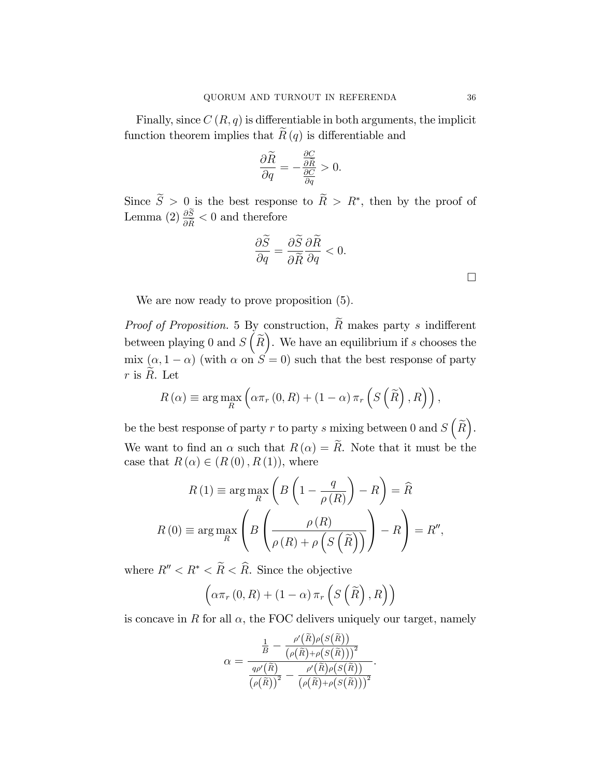Finally, since  $C(R, q)$  is differentiable in both arguments, the implicit function theorem implies that  $\widetilde{R}(q)$  is differentiable and

$$
\frac{\partial \widetilde{R}}{\partial q} = -\frac{\frac{\partial C}{\partial \widetilde{R}}}{\frac{\partial C}{\partial q}} > 0.
$$

Since  $S > 0$  is the best response to  $R > R^*$ , then by the proof of Lemma (2)  $\frac{\partial S}{\partial \tilde{R}} < 0$  and therefore

$$
\frac{\partial \widetilde{S}}{\partial q} = \frac{\partial \widetilde{S}}{\partial \widetilde{R}} \frac{\partial \widetilde{R}}{\partial q} < 0.
$$

We are now ready to prove proposition  $(5)$ .

*Proof of Proposition.* 5 By construction,  $\widetilde{R}$  makes party s indifferent between playing 0 and  $S(\tilde{R})$ . We have an equilibrium if s chooses the mix  $(\alpha, 1 - \alpha)$  (with  $\alpha$  on  $S = 0$ ) such that the best response of party  $r$  is  $R$ . Let

$$
R(\alpha) \equiv \arg\max_{R} \left( \alpha \pi_r(0, R) + (1 - \alpha) \pi_r\left( S\left(\widetilde{R}\right), R\right) \right),
$$

be the best response of party r to party s mixing between 0 and  $S(\widetilde{R})$ . We want to find an  $\alpha$  such that  $R(\alpha) = \widetilde{R}$ . Note that it must be the case that  $R(\alpha) \in (R(0), R(1))$ , where

$$
R(1) \equiv \arg\max_{R} \left( B\left(1 - \frac{q}{\rho(R)}\right) - R \right) = \widehat{R}
$$

$$
R(0) \equiv \arg\max_{R} \left( B\left(\frac{\rho(R)}{\rho(R) + \rho\left(S\left(\widetilde{R}\right)\right)}\right) - R \right) = R'',
$$

where  $R'' < R^* < \widetilde{R} < \widehat{R}$ . Since the objective

$$
\left(\alpha \pi_r\left(0,R\right) + \left(1-\alpha\right) \pi_r\left(S\left(\widetilde{R}\right),R\right)\right)
$$

is concave in R for all  $\alpha$ , the FOC delivers uniquely our target, namely

$$
\alpha = \frac{\frac{1}{B} - \frac{\rho'(\tilde{R})\rho(S(\tilde{R}))}{(\rho(\tilde{R}) + \rho(S(\tilde{R})))^2}}{\frac{q\rho'(\tilde{R})}{(\rho(\tilde{R}))^2} - \frac{\rho'(\tilde{R})\rho(S(\tilde{R}))}{(\rho(\tilde{R}) + \rho(S(\tilde{R})))^2}}.
$$

 $\Box$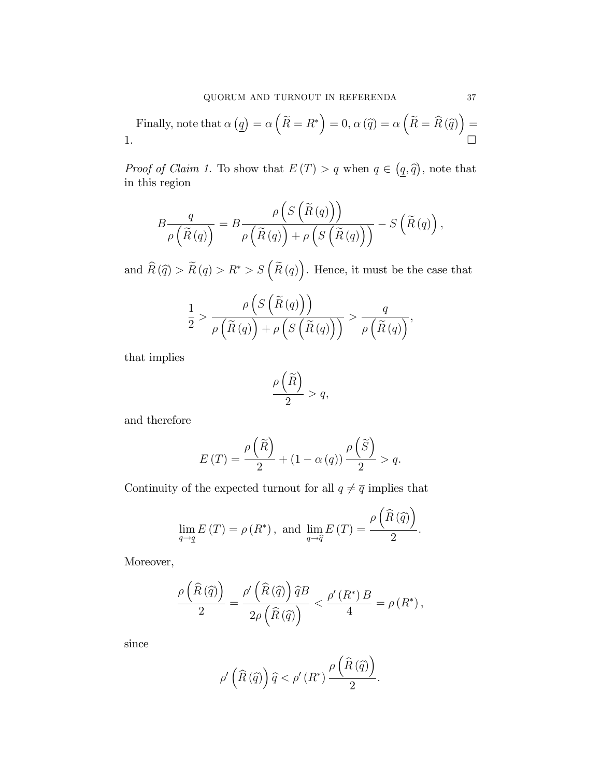Finally, note that  $\alpha(q) = \alpha\left(\widetilde{R} = R^*\right) = 0$ ,  $\alpha(\widehat{q}) = \alpha\left(\widetilde{R} = \widehat{R}(\widehat{q})\right) =$ 1.  $\Box$ 

*Proof of Claim 1.* To show that  $E(T) > q$  when  $q \in (q, \hat{q})$ , note that in this region

$$
B\frac{q}{\rho\left(\widetilde{R}\left(q\right)\right)}=B\frac{\rho\left(S\left(\widetilde{R}\left(q\right)\right)\right)}{\rho\left(\widetilde{R}\left(q\right)\right)+\rho\left(S\left(\widetilde{R}\left(q\right)\right)\right)}-S\left(\widetilde{R}\left(q\right)\right),\,
$$

and  $\widehat{R}(\widehat{q}) > \widetilde{R}(q) > R^* > S(\widetilde{R}(q))$ . Hence, it must be the case that

$$
\frac{1}{2} > \frac{\rho\left(S\left(\widetilde{R}\left(q\right)\right)\right)}{\rho\left(\widetilde{R}\left(q\right)\right) + \rho\left(S\left(\widetilde{R}\left(q\right)\right)\right)} > \frac{q}{\rho\left(\widetilde{R}\left(q\right)\right)},
$$

that implies

$$
\frac{\rho\left(\widetilde{R}\right)}{2} > q,
$$

and therefore

$$
E(T) = \frac{\rho\left(\widetilde{R}\right)}{2} + (1 - \alpha(q))\frac{\rho\left(\widetilde{S}\right)}{2} > q.
$$

Continuity of the expected turnout for all  $q\neq\overline{q}$  implies that

$$
\lim_{q \to \underline{q}} E(T) = \rho(R^*), \text{ and } \lim_{q \to \widehat{q}} E(T) = \frac{\rho(\widehat{R}(\widehat{q}))}{2}.
$$

Moreover,

$$
\frac{\rho\left(\widehat{R}\left(\widehat{q}\right)\right)}{2} = \frac{\rho'\left(\widehat{R}\left(\widehat{q}\right)\right)\widehat{q}B}{2\rho\left(\widehat{R}\left(\widehat{q}\right)\right)} < \frac{\rho'\left(R^*\right)B}{4} = \rho\left(R^*\right),
$$

since

$$
\rho'\left(\widehat{R}\left(\widehat{q}\right)\right)\widehat{q}<\rho'\left(R^*\right)\frac{\rho\left(\widehat{R}\left(\widehat{q}\right)\right)}{2}.
$$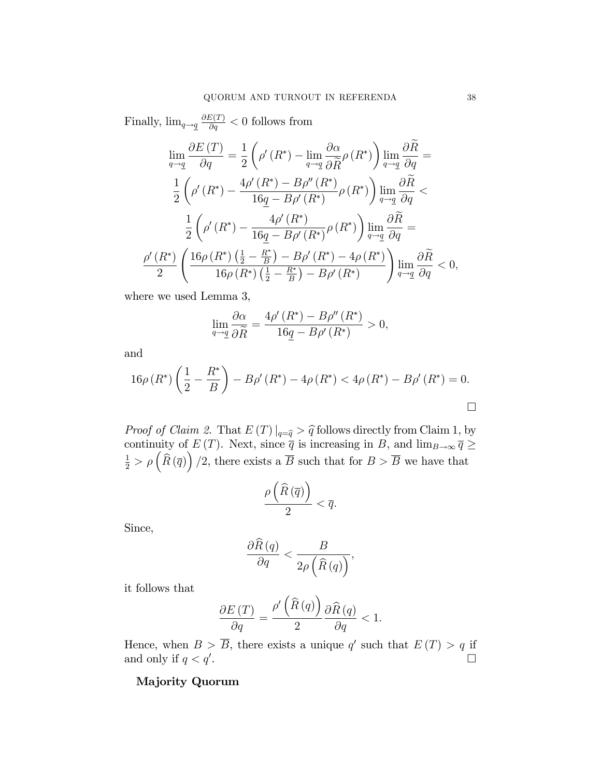Finally,  $\lim_{q\to q} \frac{\partial E(T)}{\partial q} < 0$  follows from

$$
\lim_{q \to \underline{q}} \frac{\partial E(T)}{\partial q} = \frac{1}{2} \left( \rho'(R^*) - \lim_{q \to \underline{q}} \frac{\partial \alpha}{\partial \widetilde{R}} \rho(R^*) \right) \lim_{q \to \underline{q}} \frac{\partial \widetilde{R}}{\partial q} =
$$

$$
\frac{1}{2} \left( \rho'(R^*) - \frac{4\rho'(R^*) - B\rho''(R^*)}{16q - B\rho'(R^*)} \rho(R^*) \right) \lim_{q \to \underline{q}} \frac{\partial \widetilde{R}}{\partial q} <
$$

$$
\frac{1}{2} \left( \rho'(R^*) - \frac{4\rho'(R^*)}{16q - B\rho'(R^*)} \rho(R^*) \right) \lim_{q \to \underline{q}} \frac{\partial \widetilde{R}}{\partial q} =
$$

$$
\frac{\rho'(R^*)}{2} \left( \frac{16\rho(R^*) \left( \frac{1}{2} - \frac{R^*}{B} \right) - B\rho'(R^*) - 4\rho(R^*)}{16\rho(R^*) \left( \frac{1}{2} - \frac{R^*}{B} \right) - B\rho'(R^*)} \right) \lim_{q \to \underline{q}} \frac{\partial \widetilde{R}}{\partial q} < 0,
$$

where we used Lemma 3,

$$
\lim_{q \to \underline{q}} \frac{\partial \alpha}{\partial \widetilde{R}} = \frac{4\rho'(R^*) - B\rho''(R^*)}{16\underline{q} - B\rho'(R^*)} > 0,
$$

and

$$
16\rho(R^*)\left(\frac{1}{2} - \frac{R^*}{B}\right) - B\rho'(R^*) - 4\rho(R^*) < 4\rho(R^*) - B\rho'(R^*) = 0.
$$

*Proof of Claim 2.* That  $E(T)|_{q=\hat{q}} > \hat{q}$  follows directly from Claim 1, by continuity of  $E(T)$ . Next, since  $\overline{q}$  is increasing in B, and  $\lim_{B\to\infty} \overline{q} \geq$  $\frac{1}{2} > \rho\left(\widehat{R}(\overline{q})\right)/2$ , there exists a  $\overline{B}$  such that for  $B > \overline{B}$  we have that

$$
\frac{\rho\left(\widehat{R}\left(\overline{q}\right)\right)}{2} < \overline{q}.
$$

Since,

$$
\frac{\partial \widehat{R}\left(q\right)}{\partial q}<\frac{B}{2\rho\left(\widehat{R}\left(q\right)\right)},
$$

it follows that

$$
\frac{\partial E\left(T\right)}{\partial q}=\frac{\rho'\left(\widehat{R}\left(q\right)\right)}{2}\frac{\partial\widehat{R}\left(q\right)}{\partial q}<1.
$$

Hence, when  $B > B$ , there exists a unique q' such that  $E(T) > q$  if and only if  $q < q'$ . .

# Majority Quorum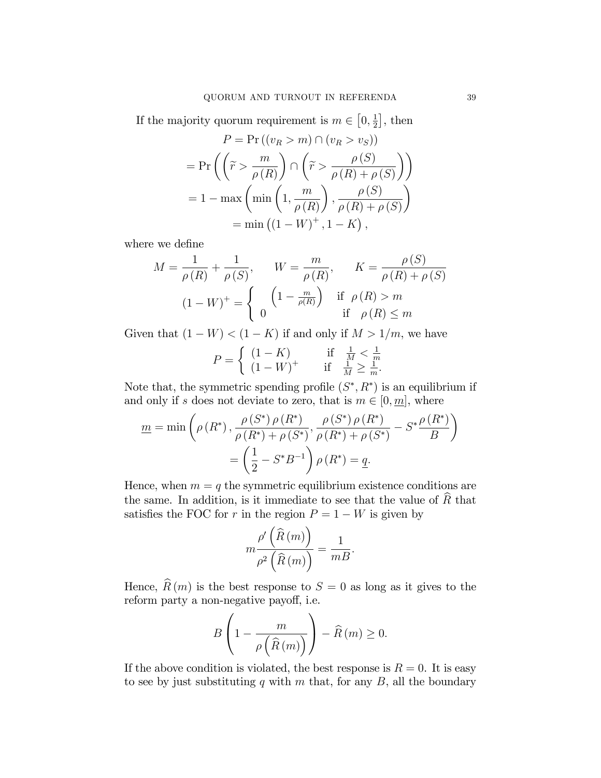If the majority quorum requirement is  $m \in [0, \frac{1}{2}]$  $\frac{1}{2}$ , then

$$
P = \Pr((v_R > m) \cap (v_R > v_S))
$$
  
= 
$$
\Pr\left(\left(\widetilde{r} > \frac{m}{\rho(R)}\right) \cap \left(\widetilde{r} > \frac{\rho(S)}{\rho(R) + \rho(S)}\right)\right)
$$
  
= 
$$
1 - \max\left(\min\left(1, \frac{m}{\rho(R)}\right), \frac{\rho(S)}{\rho(R) + \rho(S)}\right)
$$
  
= 
$$
\min\left((1 - W)^+, 1 - K\right),
$$

where we define

$$
M = \frac{1}{\rho(R)} + \frac{1}{\rho(S)}, \qquad W = \frac{m}{\rho(R)}, \qquad K = \frac{\rho(S)}{\rho(R) + \rho(S)}
$$

$$
(1 - W)^{+} = \begin{cases} \left(1 - \frac{m}{\rho(R)}\right) & \text{if } \rho(R) > m\\ 0 & \text{if } \rho(R) \le m \end{cases}
$$

Given that  $(1 - W) < (1 - K)$  if and only if  $M > 1/m$ , we have

$$
P = \begin{cases} (1 - K) & \text{if } \frac{1}{M} < \frac{1}{m} \\ (1 - W)^{+} & \text{if } \frac{1}{M} \ge \frac{1}{m}. \end{cases}
$$

Note that, the symmetric spending profile  $(S^*, R^*)$  is an equilibrium if and only if s does not deviate to zero, that is  $m \in [0, m]$ , where

$$
\underline{m} = \min \left( \rho(R^*), \frac{\rho(S^*) \rho(R^*)}{\rho(R^*) + \rho(S^*)}, \frac{\rho(S^*) \rho(R^*)}{\rho(R^*) + \rho(S^*)} - S^* \frac{\rho(R^*)}{B} \right)
$$

$$
= \left( \frac{1}{2} - S^* B^{-1} \right) \rho(R^*) = \underline{q}.
$$

Hence, when  $m = q$  the symmetric equilibrium existence conditions are the same. In addition, is it immediate to see that the value of  $\widehat{R}$  that satisfies the FOC for r in the region  $P = 1 - W$  is given by

$$
m \frac{\rho' \left(\widehat{R}(m)\right)}{\rho^2 \left(\widehat{R}(m)\right)} = \frac{1}{mB}.
$$

Hence,  $\widehat{R}(m)$  is the best response to  $S = 0$  as long as it gives to the reform party a non-negative payoff, i.e.

$$
B\left(1-\frac{m}{\rho\left(\widehat{R}\left(m\right)\right)}\right)-\widehat{R}\left(m\right)\geq 0.
$$

If the above condition is violated, the best response is  $R = 0$ . It is easy to see by just substituting q with m that, for any  $B$ , all the boundary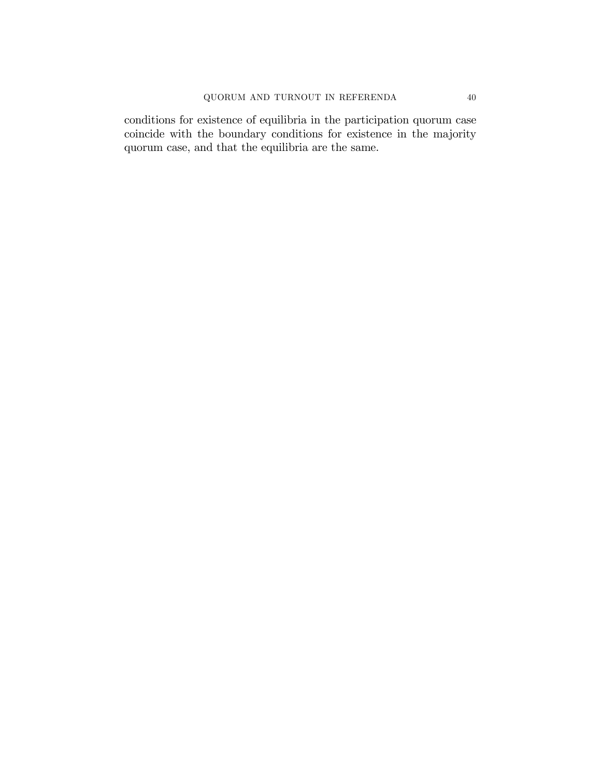conditions for existence of equilibria in the participation quorum case coincide with the boundary conditions for existence in the majority quorum case, and that the equilibria are the same.